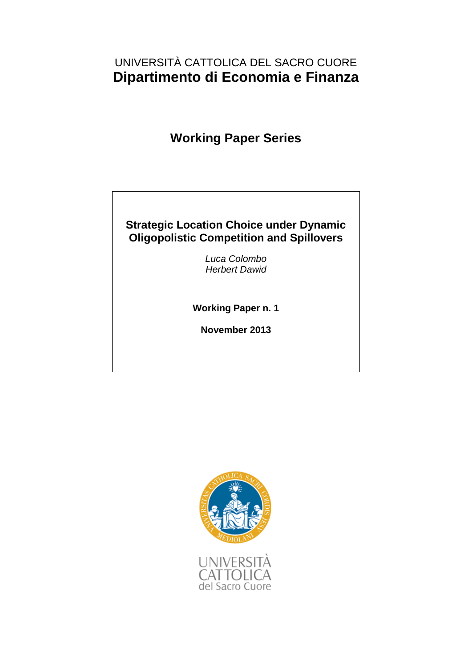## UNIVERSITÀ CATTOLICA DEL SACRO CUORE **Dipartimento di Economia e Finanza**

# **Working Paper Series**

### **Strategic Location Choice under Dynamic Oligopolistic Competition and Spillovers**

*Luca Colombo Herbert Dawid*

**Working Paper n. 1**

**November 2013**

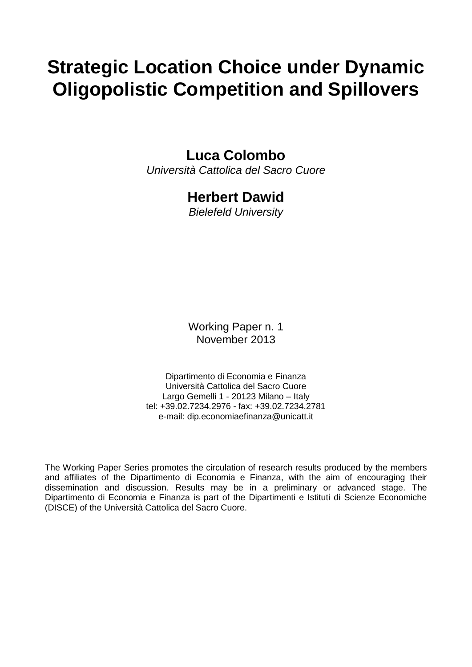# **Strategic Location Choice under Dynamic Oligopolistic Competition and Spillovers**

## **Luca Colombo**

*Università Cattolica del Sacro Cuore*

### **Herbert Dawid**

*Bielefeld University*

Working Paper n. 1 November 2013

Dipartimento di Economia e Finanza Università Cattolica del Sacro Cuore Largo Gemelli 1 - 20123 Milano – Italy tel: +39.02.7234.2976 - fax: +39.02.7234.2781 e-mail: dip.economiaefinanza@unicatt.it

The Working Paper Series promotes the circulation of research results produced by the members and affiliates of the Dipartimento di Economia e Finanza, with the aim of encouraging their dissemination and discussion. Results may be in a preliminary or advanced stage. The Dipartimento di Economia e Finanza is part of the Dipartimenti e Istituti di Scienze Economiche (DISCE) of the Università Cattolica del Sacro Cuore.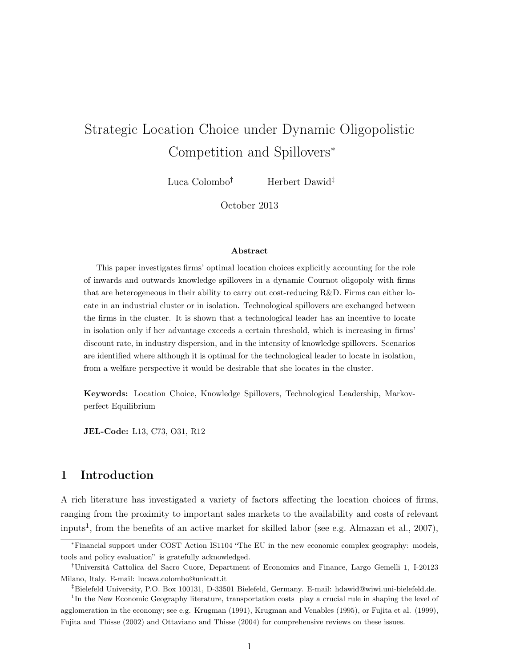# Strategic Location Choice under Dynamic Oligopolistic Competition and Spillovers<sup>∗</sup>

Luca Colombo<sup>†</sup> Herbert Dawid<sup>‡</sup>

October 2013

#### Abstract

This paper investigates firms' optimal location choices explicitly accounting for the role of inwards and outwards knowledge spillovers in a dynamic Cournot oligopoly with firms that are heterogeneous in their ability to carry out cost-reducing R&D. Firms can either locate in an industrial cluster or in isolation. Technological spillovers are exchanged between the firms in the cluster. It is shown that a technological leader has an incentive to locate in isolation only if her advantage exceeds a certain threshold, which is increasing in firms' discount rate, in industry dispersion, and in the intensity of knowledge spillovers. Scenarios are identified where although it is optimal for the technological leader to locate in isolation, from a welfare perspective it would be desirable that she locates in the cluster.

Keywords: Location Choice, Knowledge Spillovers, Technological Leadership, Markovperfect Equilibrium

JEL-Code: L13, C73, O31, R12

#### 1 Introduction

A rich literature has investigated a variety of factors affecting the location choices of firms, ranging from the proximity to important sales markets to the availability and costs of relevant inputs<sup>1</sup>, from the benefits of an active market for skilled labor (see e.g. Almazan et al., 2007),

<sup>∗</sup>Financial support under COST Action IS1104 "The EU in the new economic complex geography: models, tools and policy evaluation" is gratefully acknowledged.

<sup>†</sup>Università Cattolica del Sacro Cuore, Department of Economics and Finance, Largo Gemelli 1, I-20123 Milano, Italy. E-mail: lucava.colombo@unicatt.it

<sup>‡</sup>Bielefeld University, P.O. Box 100131, D-33501 Bielefeld, Germany. E-mail: hdawid@wiwi.uni-bielefeld.de.

<sup>&</sup>lt;sup>1</sup>In the New Economic Geography literature, transportation costs play a crucial rule in shaping the level of agglomeration in the economy; see e.g. Krugman (1991), Krugman and Venables (1995), or Fujita et al. (1999), Fujita and Thisse (2002) and Ottaviano and Thisse (2004) for comprehensive reviews on these issues.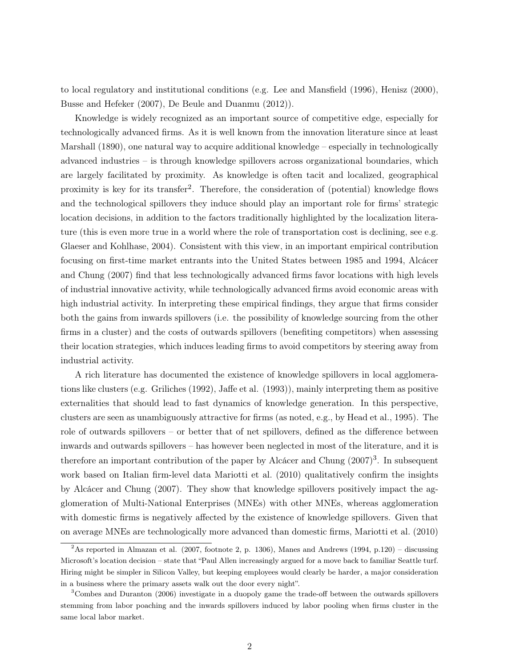to local regulatory and institutional conditions (e.g. Lee and Mansfield (1996), Henisz (2000), Busse and Hefeker (2007), De Beule and Duanmu (2012)).

Knowledge is widely recognized as an important source of competitive edge, especially for technologically advanced firms. As it is well known from the innovation literature since at least Marshall (1890), one natural way to acquire additional knowledge – especially in technologically advanced industries – is through knowledge spillovers across organizational boundaries, which are largely facilitated by proximity. As knowledge is often tacit and localized, geographical proximity is key for its transfer<sup>2</sup>. Therefore, the consideration of (potential) knowledge flows and the technological spillovers they induce should play an important role for firms' strategic location decisions, in addition to the factors traditionally highlighted by the localization literature (this is even more true in a world where the role of transportation cost is declining, see e.g. Glaeser and Kohlhase, 2004). Consistent with this view, in an important empirical contribution focusing on first-time market entrants into the United States between 1985 and 1994, Alcácer and Chung (2007) find that less technologically advanced firms favor locations with high levels of industrial innovative activity, while technologically advanced firms avoid economic areas with high industrial activity. In interpreting these empirical findings, they argue that firms consider both the gains from inwards spillovers (i.e. the possibility of knowledge sourcing from the other firms in a cluster) and the costs of outwards spillovers (benefiting competitors) when assessing their location strategies, which induces leading firms to avoid competitors by steering away from industrial activity.

A rich literature has documented the existence of knowledge spillovers in local agglomerations like clusters (e.g. Griliches (1992), Jaffe et al. (1993)), mainly interpreting them as positive externalities that should lead to fast dynamics of knowledge generation. In this perspective, clusters are seen as unambiguously attractive for firms (as noted, e.g., by Head et al., 1995). The role of outwards spillovers – or better that of net spillovers, defined as the difference between inwards and outwards spillovers – has however been neglected in most of the literature, and it is therefore an important contribution of the paper by Alcácer and Chung  $(2007)^3$ . In subsequent work based on Italian firm-level data Mariotti et al. (2010) qualitatively confirm the insights by Alcácer and Chung (2007). They show that knowledge spillovers positively impact the agglomeration of Multi-National Enterprises (MNEs) with other MNEs, whereas agglomeration with domestic firms is negatively affected by the existence of knowledge spillovers. Given that on average MNEs are technologically more advanced than domestic firms, Mariotti et al. (2010)

<sup>&</sup>lt;sup>2</sup>As reported in Almazan et al. (2007, footnote 2, p. 1306), Manes and Andrews (1994, p.120) – discussing Microsoft's location decision – state that "Paul Allen increasingly argued for a move back to familiar Seattle turf. Hiring might be simpler in Silicon Valley, but keeping employees would clearly be harder, a major consideration in a business where the primary assets walk out the door every night".

<sup>3</sup>Combes and Duranton (2006) investigate in a duopoly game the trade-off between the outwards spillovers stemming from labor poaching and the inwards spillovers induced by labor pooling when firms cluster in the same local labor market.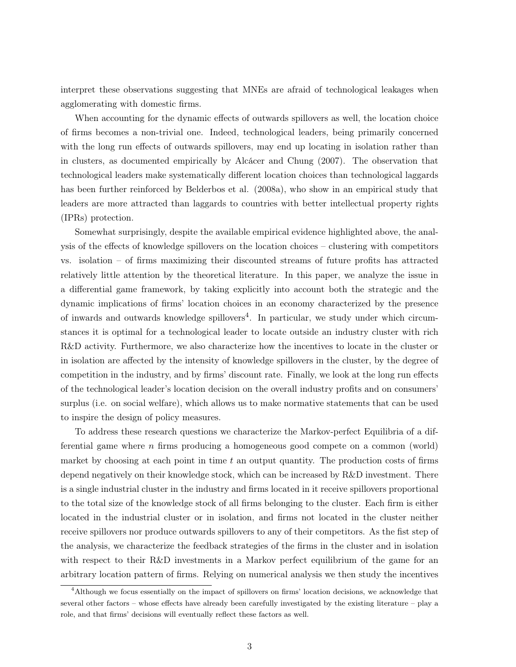interpret these observations suggesting that MNEs are afraid of technological leakages when agglomerating with domestic firms.

When accounting for the dynamic effects of outwards spillovers as well, the location choice of firms becomes a non-trivial one. Indeed, technological leaders, being primarily concerned with the long run effects of outwards spillovers, may end up locating in isolation rather than in clusters, as documented empirically by Alcácer and Chung (2007). The observation that technological leaders make systematically different location choices than technological laggards has been further reinforced by Belderbos et al. (2008a), who show in an empirical study that leaders are more attracted than laggards to countries with better intellectual property rights (IPRs) protection.

Somewhat surprisingly, despite the available empirical evidence highlighted above, the analysis of the effects of knowledge spillovers on the location choices – clustering with competitors vs. isolation – of firms maximizing their discounted streams of future profits has attracted relatively little attention by the theoretical literature. In this paper, we analyze the issue in a differential game framework, by taking explicitly into account both the strategic and the dynamic implications of firms' location choices in an economy characterized by the presence of inwards and outwards knowledge spillovers<sup>4</sup>. In particular, we study under which circumstances it is optimal for a technological leader to locate outside an industry cluster with rich R&D activity. Furthermore, we also characterize how the incentives to locate in the cluster or in isolation are affected by the intensity of knowledge spillovers in the cluster, by the degree of competition in the industry, and by firms' discount rate. Finally, we look at the long run effects of the technological leader's location decision on the overall industry profits and on consumers' surplus (i.e. on social welfare), which allows us to make normative statements that can be used to inspire the design of policy measures.

To address these research questions we characterize the Markov-perfect Equilibria of a differential game where  $n$  firms producing a homogeneous good compete on a common (world) market by choosing at each point in time  $t$  an output quantity. The production costs of firms depend negatively on their knowledge stock, which can be increased by R&D investment. There is a single industrial cluster in the industry and firms located in it receive spillovers proportional to the total size of the knowledge stock of all firms belonging to the cluster. Each firm is either located in the industrial cluster or in isolation, and firms not located in the cluster neither receive spillovers nor produce outwards spillovers to any of their competitors. As the fist step of the analysis, we characterize the feedback strategies of the firms in the cluster and in isolation with respect to their R&D investments in a Markov perfect equilibrium of the game for an arbitrary location pattern of firms. Relying on numerical analysis we then study the incentives

<sup>4</sup>Although we focus essentially on the impact of spillovers on firms' location decisions, we acknowledge that several other factors – whose effects have already been carefully investigated by the existing literature – play a role, and that firms' decisions will eventually reflect these factors as well.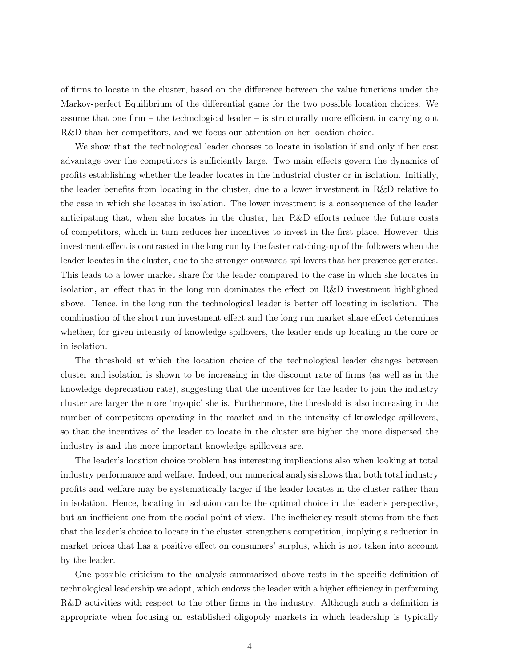of firms to locate in the cluster, based on the difference between the value functions under the Markov-perfect Equilibrium of the differential game for the two possible location choices. We assume that one firm – the technological leader – is structurally more efficient in carrying out R&D than her competitors, and we focus our attention on her location choice.

We show that the technological leader chooses to locate in isolation if and only if her cost advantage over the competitors is sufficiently large. Two main effects govern the dynamics of profits establishing whether the leader locates in the industrial cluster or in isolation. Initially, the leader benefits from locating in the cluster, due to a lower investment in R&D relative to the case in which she locates in isolation. The lower investment is a consequence of the leader anticipating that, when she locates in the cluster, her R&D efforts reduce the future costs of competitors, which in turn reduces her incentives to invest in the first place. However, this investment effect is contrasted in the long run by the faster catching-up of the followers when the leader locates in the cluster, due to the stronger outwards spillovers that her presence generates. This leads to a lower market share for the leader compared to the case in which she locates in isolation, an effect that in the long run dominates the effect on R&D investment highlighted above. Hence, in the long run the technological leader is better off locating in isolation. The combination of the short run investment effect and the long run market share effect determines whether, for given intensity of knowledge spillovers, the leader ends up locating in the core or in isolation.

The threshold at which the location choice of the technological leader changes between cluster and isolation is shown to be increasing in the discount rate of firms (as well as in the knowledge depreciation rate), suggesting that the incentives for the leader to join the industry cluster are larger the more 'myopic' she is. Furthermore, the threshold is also increasing in the number of competitors operating in the market and in the intensity of knowledge spillovers, so that the incentives of the leader to locate in the cluster are higher the more dispersed the industry is and the more important knowledge spillovers are.

The leader's location choice problem has interesting implications also when looking at total industry performance and welfare. Indeed, our numerical analysis shows that both total industry profits and welfare may be systematically larger if the leader locates in the cluster rather than in isolation. Hence, locating in isolation can be the optimal choice in the leader's perspective, but an inefficient one from the social point of view. The inefficiency result stems from the fact that the leader's choice to locate in the cluster strengthens competition, implying a reduction in market prices that has a positive effect on consumers' surplus, which is not taken into account by the leader.

One possible criticism to the analysis summarized above rests in the specific definition of technological leadership we adopt, which endows the leader with a higher efficiency in performing R&D activities with respect to the other firms in the industry. Although such a definition is appropriate when focusing on established oligopoly markets in which leadership is typically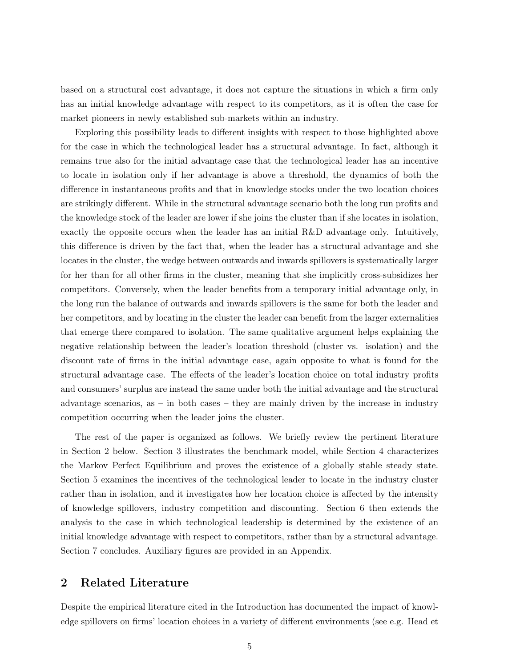based on a structural cost advantage, it does not capture the situations in which a firm only has an initial knowledge advantage with respect to its competitors, as it is often the case for market pioneers in newly established sub-markets within an industry.

Exploring this possibility leads to different insights with respect to those highlighted above for the case in which the technological leader has a structural advantage. In fact, although it remains true also for the initial advantage case that the technological leader has an incentive to locate in isolation only if her advantage is above a threshold, the dynamics of both the difference in instantaneous profits and that in knowledge stocks under the two location choices are strikingly different. While in the structural advantage scenario both the long run profits and the knowledge stock of the leader are lower if she joins the cluster than if she locates in isolation, exactly the opposite occurs when the leader has an initial R&D advantage only. Intuitively, this difference is driven by the fact that, when the leader has a structural advantage and she locates in the cluster, the wedge between outwards and inwards spillovers is systematically larger for her than for all other firms in the cluster, meaning that she implicitly cross-subsidizes her competitors. Conversely, when the leader benefits from a temporary initial advantage only, in the long run the balance of outwards and inwards spillovers is the same for both the leader and her competitors, and by locating in the cluster the leader can benefit from the larger externalities that emerge there compared to isolation. The same qualitative argument helps explaining the negative relationship between the leader's location threshold (cluster vs. isolation) and the discount rate of firms in the initial advantage case, again opposite to what is found for the structural advantage case. The effects of the leader's location choice on total industry profits and consumers' surplus are instead the same under both the initial advantage and the structural advantage scenarios, as  $-$  in both cases  $-$  they are mainly driven by the increase in industry competition occurring when the leader joins the cluster.

The rest of the paper is organized as follows. We briefly review the pertinent literature in Section 2 below. Section 3 illustrates the benchmark model, while Section 4 characterizes the Markov Perfect Equilibrium and proves the existence of a globally stable steady state. Section 5 examines the incentives of the technological leader to locate in the industry cluster rather than in isolation, and it investigates how her location choice is affected by the intensity of knowledge spillovers, industry competition and discounting. Section 6 then extends the analysis to the case in which technological leadership is determined by the existence of an initial knowledge advantage with respect to competitors, rather than by a structural advantage. Section 7 concludes. Auxiliary figures are provided in an Appendix.

#### 2 Related Literature

Despite the empirical literature cited in the Introduction has documented the impact of knowledge spillovers on firms' location choices in a variety of different environments (see e.g. Head et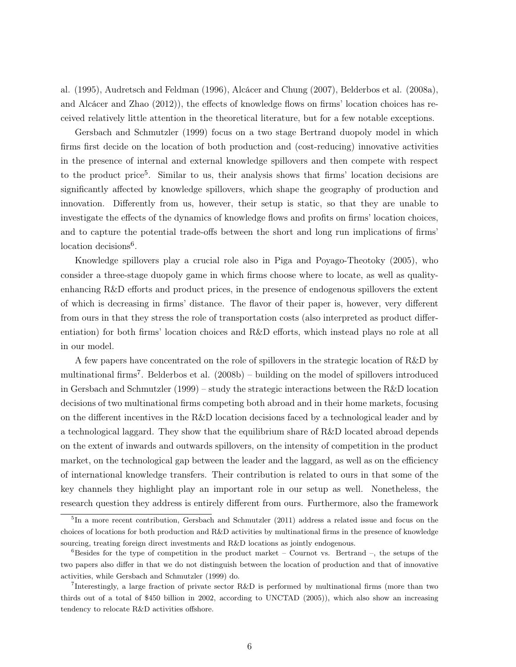al. (1995), Audretsch and Feldman (1996), Alcácer and Chung (2007), Belderbos et al. (2008a), and Alcácer and Zhao (2012)), the effects of knowledge flows on firms' location choices has received relatively little attention in the theoretical literature, but for a few notable exceptions.

Gersbach and Schmutzler (1999) focus on a two stage Bertrand duopoly model in which firms first decide on the location of both production and (cost-reducing) innovative activities in the presence of internal and external knowledge spillovers and then compete with respect to the product price<sup>5</sup>. Similar to us, their analysis shows that firms' location decisions are significantly affected by knowledge spillovers, which shape the geography of production and innovation. Differently from us, however, their setup is static, so that they are unable to investigate the effects of the dynamics of knowledge flows and profits on firms' location choices, and to capture the potential trade-offs between the short and long run implications of firms' location decisions<sup>6</sup>.

Knowledge spillovers play a crucial role also in Piga and Poyago-Theotoky (2005), who consider a three-stage duopoly game in which firms choose where to locate, as well as qualityenhancing R&D efforts and product prices, in the presence of endogenous spillovers the extent of which is decreasing in firms' distance. The flavor of their paper is, however, very different from ours in that they stress the role of transportation costs (also interpreted as product differentiation) for both firms' location choices and R&D efforts, which instead plays no role at all in our model.

A few papers have concentrated on the role of spillovers in the strategic location of R&D by multinational firms<sup>7</sup>. Belderbos et al. (2008b) – building on the model of spillovers introduced in Gersbach and Schmutzler (1999) – study the strategic interactions between the R&D location decisions of two multinational firms competing both abroad and in their home markets, focusing on the different incentives in the R&D location decisions faced by a technological leader and by a technological laggard. They show that the equilibrium share of R&D located abroad depends on the extent of inwards and outwards spillovers, on the intensity of competition in the product market, on the technological gap between the leader and the laggard, as well as on the efficiency of international knowledge transfers. Their contribution is related to ours in that some of the key channels they highlight play an important role in our setup as well. Nonetheless, the research question they address is entirely different from ours. Furthermore, also the framework

<sup>&</sup>lt;sup>5</sup>In a more recent contribution, Gersbach and Schmutzler (2011) address a related issue and focus on the choices of locations for both production and R&D activities by multinational firms in the presence of knowledge sourcing, treating foreign direct investments and R&D locations as jointly endogenous.

 ${}^{6}$ Besides for the type of competition in the product market – Cournot vs. Bertrand –, the setups of the two papers also differ in that we do not distinguish between the location of production and that of innovative activities, while Gersbach and Schmutzler (1999) do.

<sup>7</sup> Interestingly, a large fraction of private sector R&D is performed by multinational firms (more than two thirds out of a total of \$450 billion in 2002, according to UNCTAD (2005)), which also show an increasing tendency to relocate R&D activities offshore.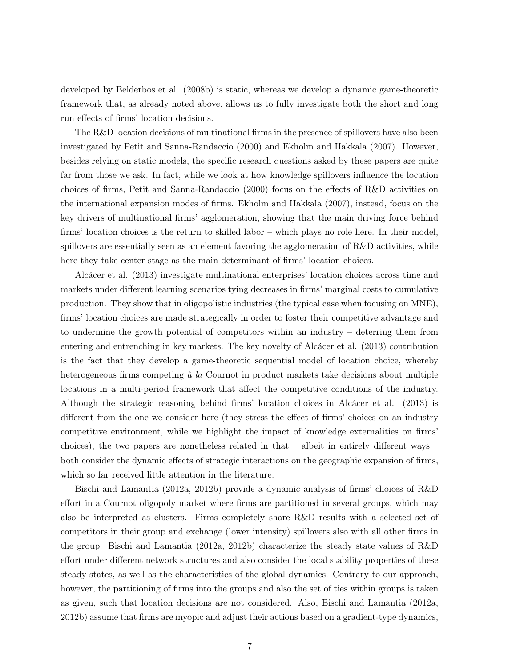developed by Belderbos et al. (2008b) is static, whereas we develop a dynamic game-theoretic framework that, as already noted above, allows us to fully investigate both the short and long run effects of firms' location decisions.

The R&D location decisions of multinational firms in the presence of spillovers have also been investigated by Petit and Sanna-Randaccio (2000) and Ekholm and Hakkala (2007). However, besides relying on static models, the specific research questions asked by these papers are quite far from those we ask. In fact, while we look at how knowledge spillovers influence the location choices of firms, Petit and Sanna-Randaccio (2000) focus on the effects of R&D activities on the international expansion modes of firms. Ekholm and Hakkala (2007), instead, focus on the key drivers of multinational firms' agglomeration, showing that the main driving force behind firms' location choices is the return to skilled labor – which plays no role here. In their model, spillovers are essentially seen as an element favoring the agglomeration of R&D activities, while here they take center stage as the main determinant of firms' location choices.

Alcácer et al. (2013) investigate multinational enterprises' location choices across time and markets under different learning scenarios tying decreases in firms' marginal costs to cumulative production. They show that in oligopolistic industries (the typical case when focusing on MNE), firms' location choices are made strategically in order to foster their competitive advantage and to undermine the growth potential of competitors within an industry – deterring them from entering and entrenching in key markets. The key novelty of Alcácer et al. (2013) contribution is the fact that they develop a game-theoretic sequential model of location choice, whereby heterogeneous firms competing  $\dot{a}$  la Cournot in product markets take decisions about multiple locations in a multi-period framework that affect the competitive conditions of the industry. Although the strategic reasoning behind firms' location choices in Alcácer et al. (2013) is different from the one we consider here (they stress the effect of firms' choices on an industry competitive environment, while we highlight the impact of knowledge externalities on firms' choices), the two papers are nonetheless related in that – albeit in entirely different ways – both consider the dynamic effects of strategic interactions on the geographic expansion of firms, which so far received little attention in the literature.

Bischi and Lamantia (2012a, 2012b) provide a dynamic analysis of firms' choices of R&D effort in a Cournot oligopoly market where firms are partitioned in several groups, which may also be interpreted as clusters. Firms completely share R&D results with a selected set of competitors in their group and exchange (lower intensity) spillovers also with all other firms in the group. Bischi and Lamantia (2012a, 2012b) characterize the steady state values of R&D effort under different network structures and also consider the local stability properties of these steady states, as well as the characteristics of the global dynamics. Contrary to our approach, however, the partitioning of firms into the groups and also the set of ties within groups is taken as given, such that location decisions are not considered. Also, Bischi and Lamantia (2012a, 2012b) assume that firms are myopic and adjust their actions based on a gradient-type dynamics,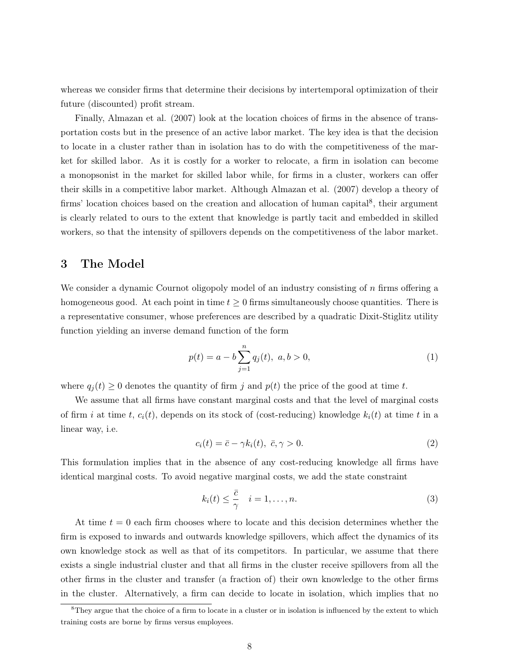whereas we consider firms that determine their decisions by intertemporal optimization of their future (discounted) profit stream.

Finally, Almazan et al. (2007) look at the location choices of firms in the absence of transportation costs but in the presence of an active labor market. The key idea is that the decision to locate in a cluster rather than in isolation has to do with the competitiveness of the market for skilled labor. As it is costly for a worker to relocate, a firm in isolation can become a monopsonist in the market for skilled labor while, for firms in a cluster, workers can offer their skills in a competitive labor market. Although Almazan et al. (2007) develop a theory of firms' location choices based on the creation and allocation of human capital<sup>8</sup>, their argument is clearly related to ours to the extent that knowledge is partly tacit and embedded in skilled workers, so that the intensity of spillovers depends on the competitiveness of the labor market.

### 3 The Model

We consider a dynamic Cournot oligopoly model of an industry consisting of  $n$  firms offering a homogeneous good. At each point in time  $t \geq 0$  firms simultaneously choose quantities. There is a representative consumer, whose preferences are described by a quadratic Dixit-Stiglitz utility function yielding an inverse demand function of the form

$$
p(t) = a - b \sum_{j=1}^{n} q_j(t), \ a, b > 0,
$$
\n(1)

where  $q_i(t) \geq 0$  denotes the quantity of firm j and  $p(t)$  the price of the good at time t.

We assume that all firms have constant marginal costs and that the level of marginal costs of firm i at time t,  $c_i(t)$ , depends on its stock of (cost-reducing) knowledge  $k_i(t)$  at time t in a linear way, i.e.

$$
c_i(t) = \bar{c} - \gamma k_i(t), \ \bar{c}, \gamma > 0. \tag{2}
$$

This formulation implies that in the absence of any cost-reducing knowledge all firms have identical marginal costs. To avoid negative marginal costs, we add the state constraint

$$
k_i(t) \le \frac{\bar{c}}{\gamma} \quad i = 1, \dots, n. \tag{3}
$$

At time  $t = 0$  each firm chooses where to locate and this decision determines whether the firm is exposed to inwards and outwards knowledge spillovers, which affect the dynamics of its own knowledge stock as well as that of its competitors. In particular, we assume that there exists a single industrial cluster and that all firms in the cluster receive spillovers from all the other firms in the cluster and transfer (a fraction of) their own knowledge to the other firms in the cluster. Alternatively, a firm can decide to locate in isolation, which implies that no

 ${}^{8}$ They argue that the choice of a firm to locate in a cluster or in isolation is influenced by the extent to which training costs are borne by firms versus employees.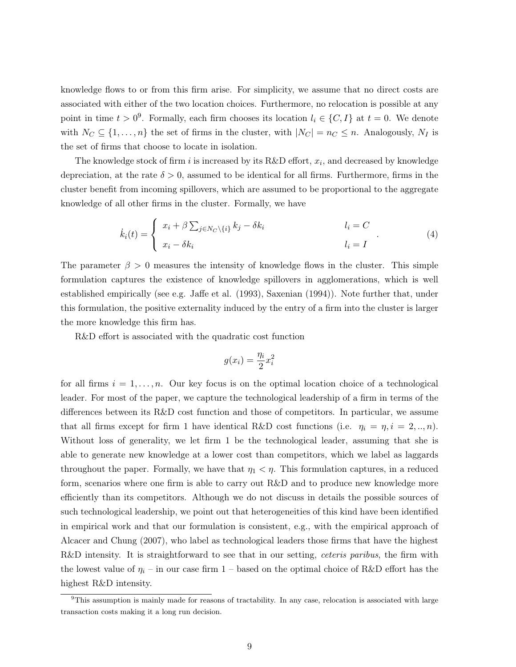knowledge flows to or from this firm arise. For simplicity, we assume that no direct costs are associated with either of the two location choices. Furthermore, no relocation is possible at any point in time  $t > 0^9$ . Formally, each firm chooses its location  $l_i \in \{C, I\}$  at  $t = 0$ . We denote with  $N_C \subseteq \{1, \ldots, n\}$  the set of firms in the cluster, with  $|N_C| = n_C \leq n$ . Analogously,  $N_I$  is the set of firms that choose to locate in isolation.

The knowledge stock of firm i is increased by its R&D effort,  $x_i$ , and decreased by knowledge depreciation, at the rate  $\delta > 0$ , assumed to be identical for all firms. Furthermore, firms in the cluster benefit from incoming spillovers, which are assumed to be proportional to the aggregate knowledge of all other firms in the cluster. Formally, we have

$$
\dot{k}_i(t) = \begin{cases} x_i + \beta \sum_{j \in N_C \setminus \{i\}} k_j - \delta k_i & l_i = C \\ x_i - \delta k_i & l_i = I \end{cases} \tag{4}
$$

The parameter  $\beta > 0$  measures the intensity of knowledge flows in the cluster. This simple formulation captures the existence of knowledge spillovers in agglomerations, which is well established empirically (see e.g. Jaffe et al. (1993), Saxenian (1994)). Note further that, under this formulation, the positive externality induced by the entry of a firm into the cluster is larger the more knowledge this firm has.

R&D effort is associated with the quadratic cost function

$$
g(x_i) = \frac{\eta_i}{2} x_i^2
$$

for all firms  $i = 1, \ldots, n$ . Our key focus is on the optimal location choice of a technological leader. For most of the paper, we capture the technological leadership of a firm in terms of the differences between its R&D cost function and those of competitors. In particular, we assume that all firms except for firm 1 have identical R&D cost functions (i.e.  $\eta_i = \eta, i = 2, ..., n$ ). Without loss of generality, we let firm 1 be the technological leader, assuming that she is able to generate new knowledge at a lower cost than competitors, which we label as laggards throughout the paper. Formally, we have that  $\eta_1 < \eta$ . This formulation captures, in a reduced form, scenarios where one firm is able to carry out R&D and to produce new knowledge more efficiently than its competitors. Although we do not discuss in details the possible sources of such technological leadership, we point out that heterogeneities of this kind have been identified in empirical work and that our formulation is consistent, e.g., with the empirical approach of Alcacer and Chung (2007), who label as technological leaders those firms that have the highest R&D intensity. It is straightforward to see that in our setting, *ceteris paribus*, the firm with the lowest value of  $\eta_i$  – in our case firm 1 – based on the optimal choice of R&D effort has the highest R&D intensity.

<sup>&</sup>lt;sup>9</sup>This assumption is mainly made for reasons of tractability. In any case, relocation is associated with large transaction costs making it a long run decision.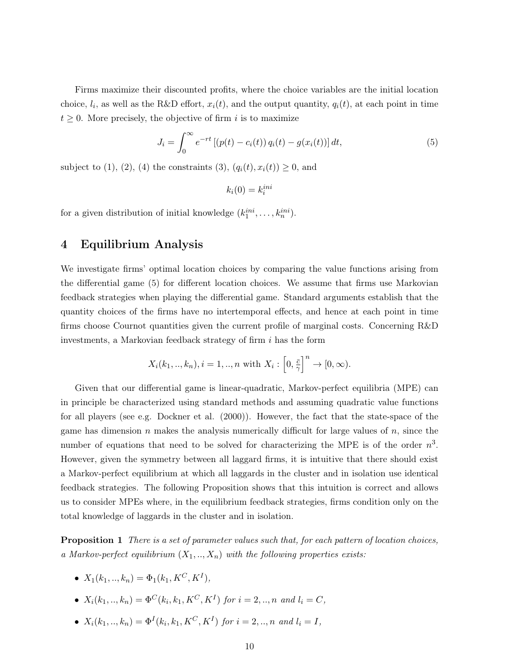Firms maximize their discounted profits, where the choice variables are the initial location choice,  $l_i$ , as well as the R&D effort,  $x_i(t)$ , and the output quantity,  $q_i(t)$ , at each point in time  $t \geq 0$ . More precisely, the objective of firm i is to maximize

$$
J_i = \int_0^\infty e^{-rt} \left[ (p(t) - c_i(t)) q_i(t) - g(x_i(t)) \right] dt,\tag{5}
$$

subject to (1), (2), (4) the constraints (3),  $(q_i(t), x_i(t)) \geq 0$ , and

$$
k_i(0) = k_i^{ini}
$$

for a given distribution of initial knowledge  $(k_1^{ini}, \ldots, k_n^{ini})$ .

#### 4 Equilibrium Analysis

We investigate firms' optimal location choices by comparing the value functions arising from the differential game (5) for different location choices. We assume that firms use Markovian feedback strategies when playing the differential game. Standard arguments establish that the quantity choices of the firms have no intertemporal effects, and hence at each point in time firms choose Cournot quantities given the current profile of marginal costs. Concerning R&D investments, a Markovian feedback strategy of firm i has the form

$$
X_i(k_1, ..., k_n), i = 1, ..., n
$$
 with  $X_i : [0, \frac{\bar{c}}{\gamma}]^n \to [0, \infty).$ 

Given that our differential game is linear-quadratic, Markov-perfect equilibria (MPE) can in principle be characterized using standard methods and assuming quadratic value functions for all players (see e.g. Dockner et al. (2000)). However, the fact that the state-space of the game has dimension  $n$  makes the analysis numerically difficult for large values of  $n$ , since the number of equations that need to be solved for characterizing the MPE is of the order  $n^3$ . However, given the symmetry between all laggard firms, it is intuitive that there should exist a Markov-perfect equilibrium at which all laggards in the cluster and in isolation use identical feedback strategies. The following Proposition shows that this intuition is correct and allows us to consider MPEs where, in the equilibrium feedback strategies, firms condition only on the total knowledge of laggards in the cluster and in isolation.

**Proposition 1** There is a set of parameter values such that, for each pattern of location choices, a Markov-perfect equilibrium  $(X_1, ..., X_n)$  with the following properties exists:

• 
$$
X_1(k_1, ..., k_n) = \Phi_1(k_1, K^C, K^I),
$$

• 
$$
X_i(k_1, ..., k_n) = \Phi^C(k_i, k_1, K^C, K^I)
$$
 for  $i = 2, ..., n$  and  $l_i = C$ ,

•  $X_i(k_1, ..., k_n) = \Phi^I(k_i, k_1, K^C, K^I)$  for  $i = 2, ..., n$  and  $l_i = I$ ,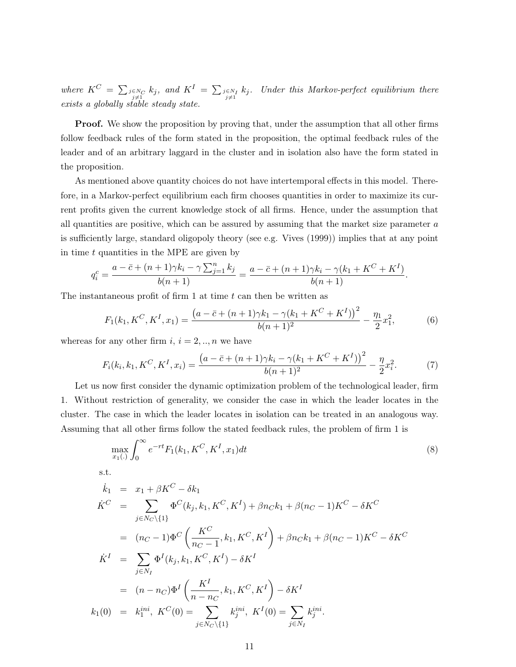where  $K^C = \sum_{\substack{j \in N_C \\ j \neq 1}} k_j$ , and  $K^I = \sum_{\substack{j \in N_I \\ j \neq 1}} k_j$ . Under this Markov-perfect equilibrium there exists a globally stable steady state.

Proof. We show the proposition by proving that, under the assumption that all other firms follow feedback rules of the form stated in the proposition, the optimal feedback rules of the leader and of an arbitrary laggard in the cluster and in isolation also have the form stated in the proposition.

As mentioned above quantity choices do not have intertemporal effects in this model. Therefore, in a Markov-perfect equilibrium each firm chooses quantities in order to maximize its current profits given the current knowledge stock of all firms. Hence, under the assumption that all quantities are positive, which can be assured by assuming that the market size parameter  $a$ is sufficiently large, standard oligopoly theory (see e.g. Vives (1999)) implies that at any point in time  $t$  quantities in the MPE are given by

$$
q_i^c = \frac{a - \bar{c} + (n+1)\gamma k_i - \gamma \sum_{j=1}^n k_j}{b(n+1)} = \frac{a - \bar{c} + (n+1)\gamma k_i - \gamma (k_1 + K^C + K^I)}{b(n+1)}.
$$

The instantaneous profit of firm 1 at time  $t$  can then be written as

$$
F_1(k_1, K^C, K^I, x_1) = \frac{\left(a - \bar{c} + (n+1)\gamma k_1 - \gamma (k_1 + K^C + K^I)\right)^2}{b(n+1)^2} - \frac{\eta_1}{2} x_1^2,
$$
(6)

whereas for any other firm  $i, i = 2, ..., n$  we have

$$
F_i(k_i, k_1, K^C, K^I, x_i) = \frac{(a - \bar{c} + (n+1)\gamma k_i - \gamma (k_1 + K^C + K^I))^2}{b(n+1)^2} - \frac{\eta}{2} x_i^2.
$$
 (7)

Let us now first consider the dynamic optimization problem of the technological leader, firm 1. Without restriction of generality, we consider the case in which the leader locates in the cluster. The case in which the leader locates in isolation can be treated in an analogous way. Assuming that all other firms follow the stated feedback rules, the problem of firm 1 is

$$
\max_{x_1(.)} \int_0^\infty e^{-rt} F_1(k_1, K^C, K^I, x_1) dt \tag{8}
$$

s.t.

$$
\dot{k}_{1} = x_{1} + \beta K^{C} - \delta k_{1}
$$
\n
$$
\dot{K}^{C} = \sum_{j \in N_{C} \backslash \{1\}} \Phi^{C}(k_{j}, k_{1}, K^{C}, K^{I}) + \beta n_{C} k_{1} + \beta (n_{C} - 1) K^{C} - \delta K^{C}
$$
\n
$$
= (n_{C} - 1) \Phi^{C} \left( \frac{K^{C}}{n_{C} - 1}, k_{1}, K^{C}, K^{I} \right) + \beta n_{C} k_{1} + \beta (n_{C} - 1) K^{C} - \delta K^{C}
$$
\n
$$
\dot{K}^{I} = \sum_{j \in N_{I}} \Phi^{I}(k_{j}, k_{1}, K^{C}, K^{I}) - \delta K^{I}
$$
\n
$$
= (n - n_{C}) \Phi^{I} \left( \frac{K^{I}}{n - n_{C}}, k_{1}, K^{C}, K^{I} \right) - \delta K^{I}
$$
\n
$$
k_{1}(0) = k_{1}^{ini}, K^{C}(0) = \sum_{j \in N_{C} \backslash \{1\}} k_{j}^{ini}, K^{I}(0) = \sum_{j \in N_{I}} k_{j}^{ini}.
$$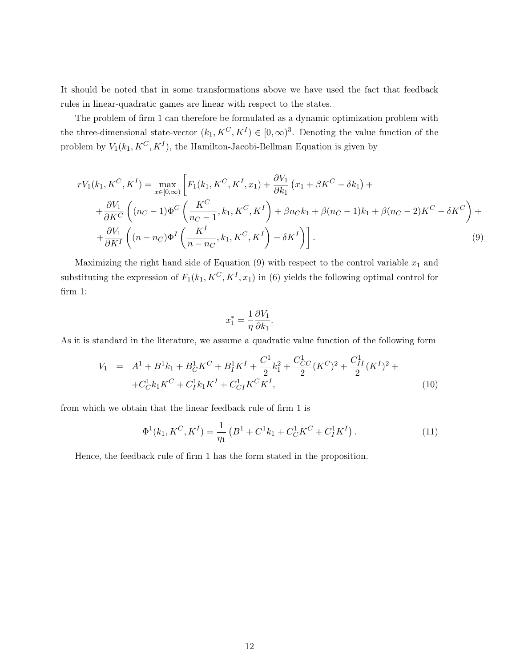It should be noted that in some transformations above we have used the fact that feedback rules in linear-quadratic games are linear with respect to the states.

The problem of firm 1 can therefore be formulated as a dynamic optimization problem with the three-dimensional state-vector  $(k_1, K^C, K^I) \in [0, \infty)^3$ . Denoting the value function of the problem by  $V_1(k_1, K^C, K^I)$ , the Hamilton-Jacobi-Bellman Equation is given by

$$
rV_{1}(k_{1}, K^{C}, K^{I}) = \max_{x \in [0, \infty)} \left[ F_{1}(k_{1}, K^{C}, K^{I}, x_{1}) + \frac{\partial V_{1}}{\partial k_{1}} (x_{1} + \beta K^{C} - \delta k_{1}) + \right. \\
\left. + \frac{\partial V_{1}}{\partial K^{C}} \left( (n_{C} - 1) \Phi^{C} \left( \frac{K^{C}}{n_{C} - 1}, k_{1}, K^{C}, K^{I} \right) + \beta n_{C} k_{1} + \beta (n_{C} - 1) k_{1} + \beta (n_{C} - 2) K^{C} - \delta K^{C} \right) + \right. \\
\left. + \frac{\partial V_{1}}{\partial K^{I}} \left( (n - n_{C}) \Phi^{I} \left( \frac{K^{I}}{n - n_{C}}, k_{1}, K^{C}, K^{I} \right) - \delta K^{I} \right) \right].
$$
\n(9)

Maximizing the right hand side of Equation  $(9)$  with respect to the control variable  $x_1$  and substituting the expression of  $F_1(k_1, K^C, K^I, x_1)$  in (6) yields the following optimal control for firm 1:

$$
x_1^* = \frac{1}{\eta} \frac{\partial V_1}{\partial k_1}.
$$

As it is standard in the literature, we assume a quadratic value function of the following form

$$
V_1 = A^1 + B^1 k_1 + B^1_C K^C + B^1_I K^I + \frac{C^1}{2} k_1^2 + \frac{C^1_{CC}}{2} (K^C)^2 + \frac{C^1_{II}}{2} (K^I)^2 +
$$
  
+  $C^1_C k_1 K^C + C^1_I k_1 K^I + C^1_{CI} K^C K^I,$  (10)

from which we obtain that the linear feedback rule of firm 1 is

$$
\Phi^1(k_1, K^C, K^I) = \frac{1}{\eta_1} \left( B^1 + C^1 k_1 + C^1_C K^C + C^1_I K^I \right). \tag{11}
$$

Hence, the feedback rule of firm 1 has the form stated in the proposition.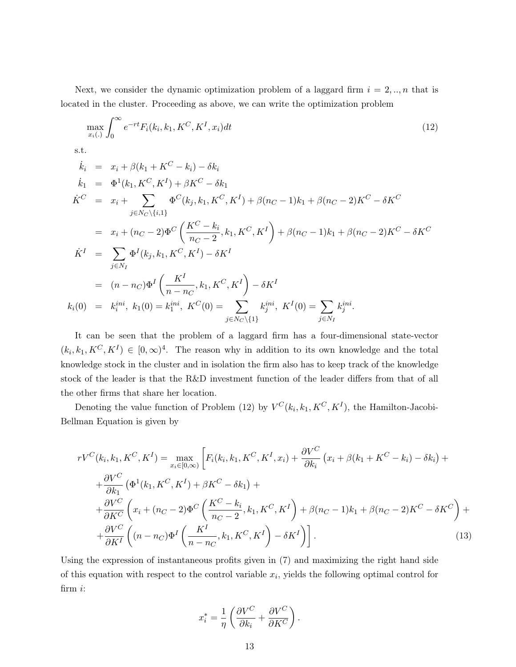Next, we consider the dynamic optimization problem of a laggard firm  $i = 2, ..., n$  that is located in the cluster. Proceeding as above, we can write the optimization problem

$$
\max_{x_i(.)} \int_0^{\infty} e^{-rt} F_i(k_i, k_1, K^C, K^I, x_i) dt
$$
\ns.t.\n
$$
\dot{k}_i = x_i + \beta(k_1 + K^C - k_i) - \delta k_i
$$
\n
$$
\dot{k}_1 = \Phi^1(k_1, K^C, K^I) + \beta K^C - \delta k_1
$$
\n
$$
\dot{K}^C = x_i + \sum_{j \in N_C \setminus \{i, 1\}} \Phi^C(k_j, k_1, K^C, K^I) + \beta(n_C - 1)k_1 + \beta(n_C - 2)K^C - \delta K^C
$$
\n
$$
= x_i + (n_C - 2)\Phi^C \left(\frac{K^C - k_i}{n_C - 2}, k_1, K^C, K^I\right) + \beta(n_C - 1)k_1 + \beta(n_C - 2)K^C - \delta K^C
$$
\n
$$
\dot{K}^I = \sum_{j \in N_I} \Phi^I(k_j, k_1, K^C, K^I) - \delta K^I
$$
\n
$$
= (n - n_C)\Phi^I \left(\frac{K^I}{n - n_C}, k_1, K^C, K^I\right) - \delta K^I
$$
\n
$$
k_i(0) = k_i^{ini}, k_1(0) = k_1^{ini}, K^C(0) = \sum_{j \in N_C \setminus \{1\}} k_j^{ini}, K^I(0) = \sum_{j \in N_I} k_j^{ini}.
$$
\n(12)

It can be seen that the problem of a laggard firm has a four-dimensional state-vector  $(k_i, k_1, K^C, K^I) \in [0, \infty)^4$ . The reason why in addition to its own knowledge and the total knowledge stock in the cluster and in isolation the firm also has to keep track of the knowledge stock of the leader is that the R&D investment function of the leader differs from that of all the other firms that share her location.

Denoting the value function of Problem (12) by  $V^C(k_i, k_1, K^C, K^I)$ , the Hamilton-Jacobi-Bellman Equation is given by

$$
rV^{C}(k_{i},k_{1},K^{C},K^{I}) = \max_{x_{i}\in[0,\infty)} \left[ F_{i}(k_{i},k_{1},K^{C},K^{I},x_{i}) + \frac{\partial V^{C}}{\partial k_{i}} \left( x_{i} + \beta(k_{1} + K^{C} - k_{i}) - \delta k_{i} \right) + \right. \\ \left. + \frac{\partial V^{C}}{\partial k_{1}} \left( \Phi^{1}(k_{1},K^{C},K^{I}) + \beta K^{C} - \delta k_{1} \right) + \\ \left. + \frac{\partial V^{C}}{\partial K^{C}} \left( x_{i} + (n_{C} - 2)\Phi^{C} \left( \frac{K^{C} - k_{i}}{n_{C} - 2}, k_{1}, K^{C},K^{I} \right) + \beta(n_{C} - 1)k_{1} + \beta(n_{C} - 2)K^{C} - \delta K^{C} \right) + \right. \\ \left. + \frac{\partial V^{C}}{\partial K^{I}} \left( (n - n_{C})\Phi^{I} \left( \frac{K^{I}}{n - n_{C}},k_{1},K^{C},K^{I} \right) - \delta K^{I} \right) \right]. \tag{13}
$$

Using the expression of instantaneous profits given in (7) and maximizing the right hand side of this equation with respect to the control variable  $x_i$ , yields the following optimal control for firm i:

$$
x_i^* = \frac{1}{\eta} \left( \frac{\partial V^C}{\partial k_i} + \frac{\partial V^C}{\partial K^C} \right).
$$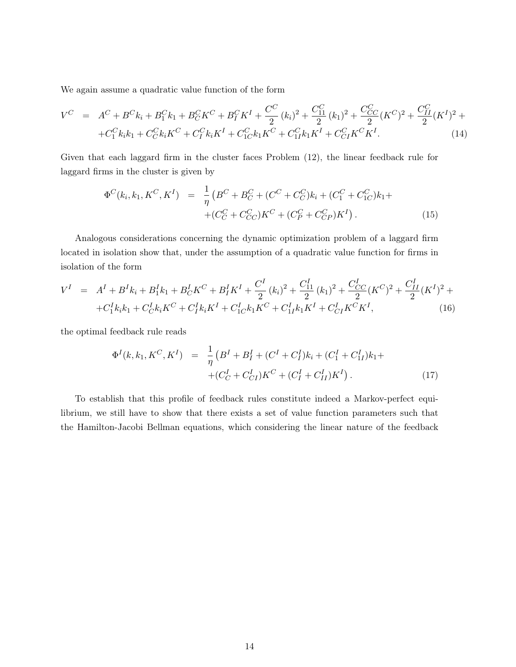We again assume a quadratic value function of the form

$$
V^{C} = A^{C} + B^{C}k_{i} + B_{1}^{C}k_{1} + B_{C}^{C}K^{C} + B_{I}^{C}K^{I} + \frac{C^{C}}{2}(k_{i})^{2} + \frac{C_{11}^{C}}{2}(k_{1})^{2} + \frac{C_{CC}^{C}}{2}(K^{C})^{2} + \frac{C_{II}^{C}}{2}(K^{I})^{2} +
$$
  
+ 
$$
C_{1}^{C}k_{i}k_{1} + C_{C}^{C}k_{i}K^{C} + C_{I}^{C}k_{i}K^{I} + C_{1C}^{C}k_{1}K^{C} + C_{1I}^{C}k_{1}K^{I} + C_{CI}^{C}K^{C}K^{I}.
$$
 (14)

Given that each laggard firm in the cluster faces Problem (12), the linear feedback rule for laggard firms in the cluster is given by

$$
\Phi^{C}(k_{i}, k_{1}, K^{C}, K^{I}) = \frac{1}{\eta} \left( B^{C} + B^{C}_{C} + (C^{C} + C^{C}_{C})k_{i} + (C^{C}_{1} + C^{C}_{1C})k_{1} + (C^{C}_{C} + C^{C}_{CC})K^{C} + (C^{C}_{P} + C^{C}_{CP})K^{I} \right).
$$
\n(15)

Analogous considerations concerning the dynamic optimization problem of a laggard firm located in isolation show that, under the assumption of a quadratic value function for firms in isolation of the form

$$
V^{I} = A^{I} + B^{I}k_{i} + B^{I}_{1}k_{1} + B^{I}_{C}K^{C} + B^{I}_{I}K^{I} + \frac{C^{I}}{2}(k_{i})^{2} + \frac{C^{I}_{11}}{2}(k_{1})^{2} + \frac{C^{I}_{CC}}{2}(K^{C})^{2} + \frac{C^{I}_{II}}{2}(K^{I})^{2} +
$$
  
+ 
$$
C^{I}_{1}k_{i}k_{1} + C^{I}_{C}k_{i}K^{C} + C^{I}_{I}k_{i}K^{I} + C^{I}_{1C}k_{1}K^{C} + C^{I}_{1I}k_{1}K^{I} + C^{I}_{CI}K^{C}K^{I},
$$
 (16)

the optimal feedback rule reads

$$
\Phi^{I}(k, k_1, K^{C}, K^{I}) = \frac{1}{\eta} (B^{I} + B^{I}_{I} + (C^{I} + C^{I}_{I})k_i + (C^{I}_{1} + C^{I}_{1I})k_1 +
$$
  
 
$$
+ (C^{I}_{C} + C^{I}_{C I})K^{C} + (C^{I}_{I} + C^{I}_{II})K^{I}). \qquad (17)
$$

To establish that this profile of feedback rules constitute indeed a Markov-perfect equilibrium, we still have to show that there exists a set of value function parameters such that the Hamilton-Jacobi Bellman equations, which considering the linear nature of the feedback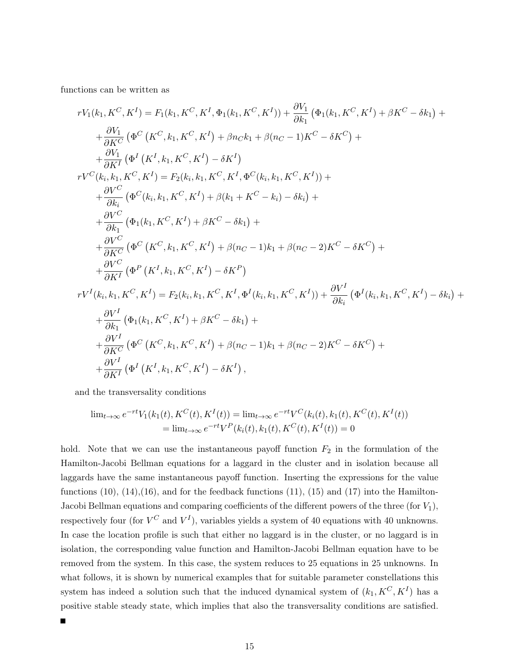functions can be written as

$$
rV_{1}(k_{1}, K^{C}, K^{I}) = F_{1}(k_{1}, K^{C}, K^{I}, \Phi_{1}(k_{1}, K^{C}, K^{I})) + \frac{\partial V_{1}}{\partial k_{1}} (\Phi_{1}(k_{1}, K^{C}, K^{I}) + \beta K^{C} - \delta k_{1}) +
$$
  
+ 
$$
\frac{\partial V_{1}}{\partial K^{C}} (\Phi^{C} (K^{C}, k_{1}, K^{C}, K^{I}) + \beta n_{C}k_{1} + \beta(n_{C} - 1)K^{C} - \delta K^{C}) +
$$
  
+ 
$$
\frac{\partial V_{1}}{\partial K^{I}} (\Phi^{I} (K^{I}, k_{1}, K^{C}, K^{I}) - \delta K^{I})
$$
  

$$
rV^{C}(k_{i}, k_{1}, K^{C}, K^{I}) = F_{2}(k_{i}, k_{1}, K^{C}, K^{I}, \Phi^{C}(k_{i}, k_{1}, K^{C}, K^{I})) +
$$
  
+ 
$$
\frac{\partial V^{C}}{\partial k_{i}} (\Phi^{C}(k_{i}, k_{1}, K^{C}, K^{I}) + \beta(k_{1} + K^{C} - k_{i}) - \delta k_{i}) +
$$
  
+ 
$$
\frac{\partial V^{C}}{\partial K^{C}} (\Phi^{C} (K^{C}, k_{1}, K^{C}, K^{I}) + \beta(n_{C} - 1)k_{1} + \beta(n_{C} - 2)K^{C} - \delta K^{C}) +
$$
  
+ 
$$
\frac{\partial V^{C}}{\partial K^{I}} (\Phi^{P} (K^{I}, k_{1}, K^{C}, K^{I}) - \delta K^{P})
$$
  

$$
rV^{I}(k_{i}, k_{1}, K^{C}, K^{I}) = F_{2}(k_{i}, k_{1}, K^{C}, K^{I}, \Phi^{I}(k_{i}, k_{1}, K^{C}, K^{I})) + \frac{\partial V^{I}}{\partial k_{i}} (\Phi^{I}(k_{i}, k_{1}, K^{C}, K^{I}) - \delta k_{i}) +
$$
  
+ 
$$
\frac{\partial V^{I}}{\partial K^{I}} (\Phi_{1}(k_{1}, K^{C}, K^{I}) + \beta K^{C} - \delta k_{1}) +
$$
  
+ 
$$
\frac{\partial V^{I}}{\partial K^{C}} (\Phi^{C} (K^{C}, k_{1}, K^{C}, K^{I}) + \beta(n_{C} - 1)k_{1} + \beta(n_{C} - 2)K^{
$$

and the transversality conditions

$$
\lim_{t \to \infty} e^{-rt} V_1(k_1(t), K^C(t), K^I(t)) = \lim_{t \to \infty} e^{-rt} V^C(k_i(t), k_1(t), K^C(t), K^I(t))
$$
  
= 
$$
\lim_{t \to \infty} e^{-rt} V^P(k_i(t), k_1(t), K^C(t), K^I(t)) = 0
$$

hold. Note that we can use the instantaneous payoff function  $F_2$  in the formulation of the Hamilton-Jacobi Bellman equations for a laggard in the cluster and in isolation because all laggards have the same instantaneous payoff function. Inserting the expressions for the value functions  $(10)$ ,  $(14)$ ,  $(16)$ , and for the feedback functions  $(11)$ ,  $(15)$  and  $(17)$  into the Hamilton-Jacobi Bellman equations and comparing coefficients of the different powers of the three (for  $V_1$ ), respectively four (for  $V^C$  and  $V^I$ ), variables yields a system of 40 equations with 40 unknowns. In case the location profile is such that either no laggard is in the cluster, or no laggard is in isolation, the corresponding value function and Hamilton-Jacobi Bellman equation have to be removed from the system. In this case, the system reduces to 25 equations in 25 unknowns. In what follows, it is shown by numerical examples that for suitable parameter constellations this system has indeed a solution such that the induced dynamical system of  $(k_1, K^C, K^I)$  has a positive stable steady state, which implies that also the transversality conditions are satisfied.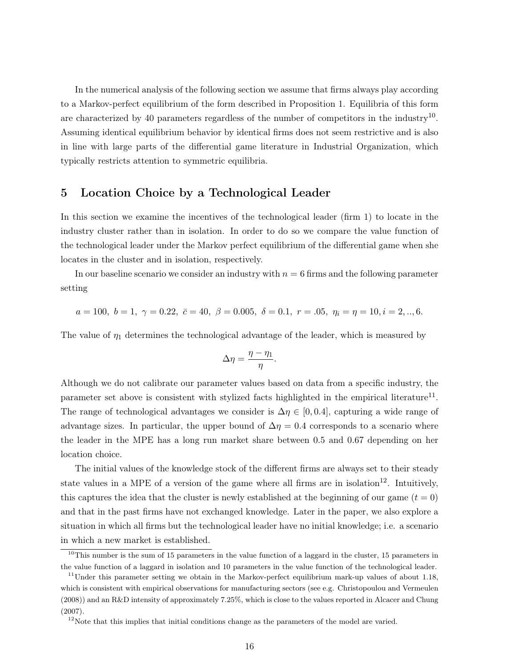In the numerical analysis of the following section we assume that firms always play according to a Markov-perfect equilibrium of the form described in Proposition 1. Equilibria of this form are characterized by 40 parameters regardless of the number of competitors in the industry<sup>10</sup>. Assuming identical equilibrium behavior by identical firms does not seem restrictive and is also in line with large parts of the differential game literature in Industrial Organization, which typically restricts attention to symmetric equilibria.

#### 5 Location Choice by a Technological Leader

In this section we examine the incentives of the technological leader (firm 1) to locate in the industry cluster rather than in isolation. In order to do so we compare the value function of the technological leader under the Markov perfect equilibrium of the differential game when she locates in the cluster and in isolation, respectively.

In our baseline scenario we consider an industry with  $n = 6$  firms and the following parameter setting

$$
a = 100, b = 1, \gamma = 0.22, \bar{c} = 40, \beta = 0.005, \delta = 0.1, r = .05, \eta_i = \eta = 10, i = 2, .., 6.
$$

The value of  $\eta_1$  determines the technological advantage of the leader, which is measured by

$$
\Delta \eta = \frac{\eta - \eta_1}{\eta}.
$$

Although we do not calibrate our parameter values based on data from a specific industry, the parameter set above is consistent with stylized facts highlighted in the empirical literature<sup>11</sup>. The range of technological advantages we consider is  $\Delta \eta \in [0, 0.4]$ , capturing a wide range of advantage sizes. In particular, the upper bound of  $\Delta \eta = 0.4$  corresponds to a scenario where the leader in the MPE has a long run market share between 0.5 and 0.67 depending on her location choice.

The initial values of the knowledge stock of the different firms are always set to their steady state values in a MPE of a version of the game where all firms are in isolation<sup>12</sup>. Intuitively, this captures the idea that the cluster is newly established at the beginning of our game  $(t = 0)$ and that in the past firms have not exchanged knowledge. Later in the paper, we also explore a situation in which all firms but the technological leader have no initial knowledge; i.e. a scenario in which a new market is established.

<sup>&</sup>lt;sup>10</sup>This number is the sum of 15 parameters in the value function of a laggard in the cluster, 15 parameters in the value function of a laggard in isolation and 10 parameters in the value function of the technological leader.

 $11$ Under this parameter setting we obtain in the Markov-perfect equilibrium mark-up values of about 1.18, which is consistent with empirical observations for manufacturing sectors (see e.g. Christopoulou and Vermeulen (2008)) and an R&D intensity of approximately 7.25%, which is close to the values reported in Alcacer and Chung (2007).

<sup>&</sup>lt;sup>12</sup>Note that this implies that initial conditions change as the parameters of the model are varied.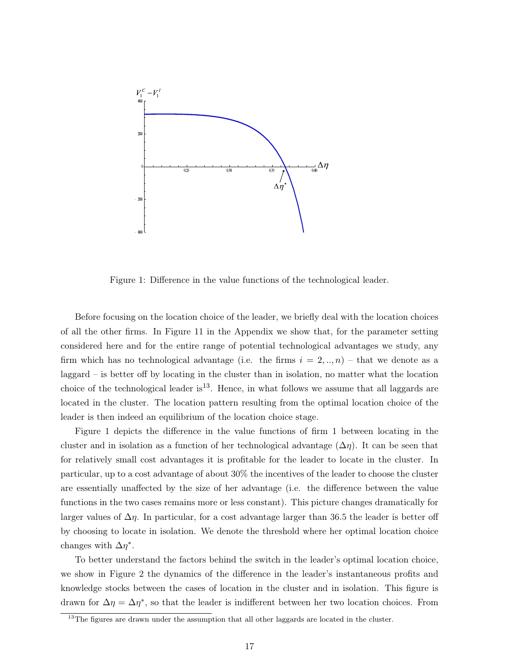

Figure 1: Difference in the value functions of the technological leader.

Before focusing on the location choice of the leader, we briefly deal with the location choices of all the other firms. In Figure 11 in the Appendix we show that, for the parameter setting considered here and for the entire range of potential technological advantages we study, any firm which has no technological advantage (i.e. the firms  $i = 2, ..., n$ ) – that we denote as a laggard – is better off by locating in the cluster than in isolation, no matter what the location choice of the technological leader is<sup>13</sup>. Hence, in what follows we assume that all laggards are located in the cluster. The location pattern resulting from the optimal location choice of the leader is then indeed an equilibrium of the location choice stage.

Figure 1 depicts the difference in the value functions of firm 1 between locating in the cluster and in isolation as a function of her technological advantage  $(\Delta \eta)$ . It can be seen that for relatively small cost advantages it is profitable for the leader to locate in the cluster. In particular, up to a cost advantage of about 30% the incentives of the leader to choose the cluster are essentially unaffected by the size of her advantage (i.e. the difference between the value functions in the two cases remains more or less constant). This picture changes dramatically for larger values of  $\Delta \eta$ . In particular, for a cost advantage larger than 36.5 the leader is better off by choosing to locate in isolation. We denote the threshold where her optimal location choice changes with  $\Delta \eta^*$ .

To better understand the factors behind the switch in the leader's optimal location choice, we show in Figure 2 the dynamics of the difference in the leader's instantaneous profits and knowledge stocks between the cases of location in the cluster and in isolation. This figure is drawn for  $\Delta \eta = \Delta \eta^*$ , so that the leader is indifferent between her two location choices. From

<sup>&</sup>lt;sup>13</sup>The figures are drawn under the assumption that all other laggards are located in the cluster.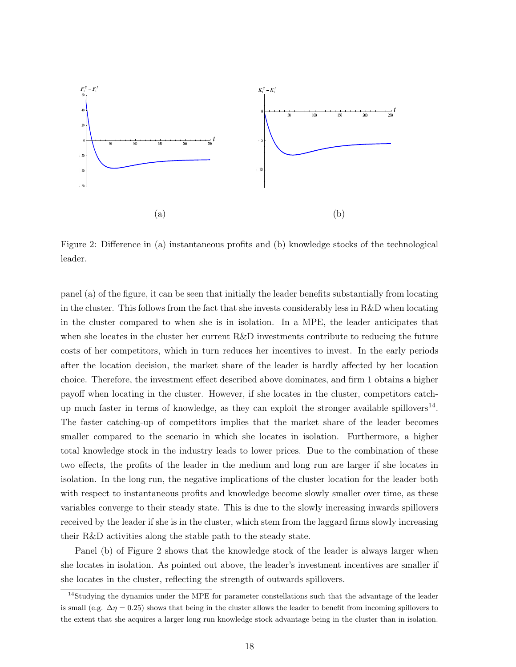

Figure 2: Difference in (a) instantaneous profits and (b) knowledge stocks of the technological leader.

panel (a) of the figure, it can be seen that initially the leader benefits substantially from locating in the cluster. This follows from the fact that she invests considerably less in R&D when locating in the cluster compared to when she is in isolation. In a MPE, the leader anticipates that when she locates in the cluster her current R&D investments contribute to reducing the future costs of her competitors, which in turn reduces her incentives to invest. In the early periods after the location decision, the market share of the leader is hardly affected by her location choice. Therefore, the investment effect described above dominates, and firm 1 obtains a higher payoff when locating in the cluster. However, if she locates in the cluster, competitors catchup much faster in terms of knowledge, as they can exploit the stronger available spillovers<sup>14</sup>. The faster catching-up of competitors implies that the market share of the leader becomes smaller compared to the scenario in which she locates in isolation. Furthermore, a higher total knowledge stock in the industry leads to lower prices. Due to the combination of these two effects, the profits of the leader in the medium and long run are larger if she locates in isolation. In the long run, the negative implications of the cluster location for the leader both with respect to instantaneous profits and knowledge become slowly smaller over time, as these variables converge to their steady state. This is due to the slowly increasing inwards spillovers received by the leader if she is in the cluster, which stem from the laggard firms slowly increasing their R&D activities along the stable path to the steady state.

Panel (b) of Figure 2 shows that the knowledge stock of the leader is always larger when she locates in isolation. As pointed out above, the leader's investment incentives are smaller if she locates in the cluster, reflecting the strength of outwards spillovers.

<sup>&</sup>lt;sup>14</sup>Studying the dynamics under the MPE for parameter constellations such that the advantage of the leader is small (e.g.  $\Delta \eta = 0.25$ ) shows that being in the cluster allows the leader to benefit from incoming spillovers to the extent that she acquires a larger long run knowledge stock advantage being in the cluster than in isolation.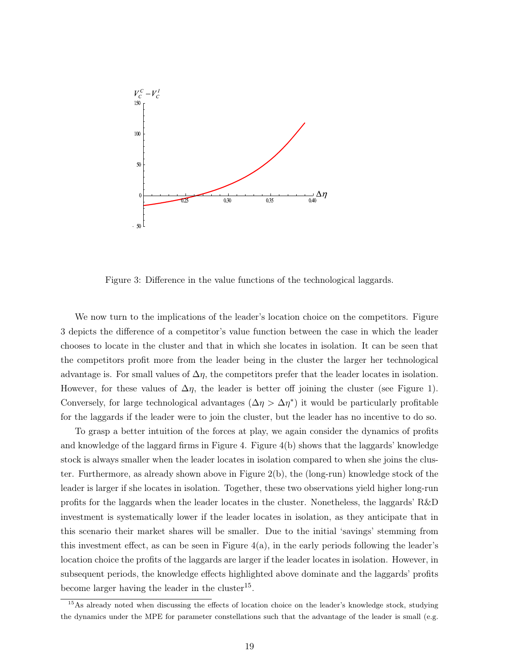

Figure 3: Difference in the value functions of the technological laggards.

We now turn to the implications of the leader's location choice on the competitors. Figure 3 depicts the difference of a competitor's value function between the case in which the leader chooses to locate in the cluster and that in which she locates in isolation. It can be seen that the competitors profit more from the leader being in the cluster the larger her technological advantage is. For small values of  $\Delta \eta$ , the competitors prefer that the leader locates in isolation. However, for these values of  $\Delta \eta$ , the leader is better off joining the cluster (see Figure 1). Conversely, for large technological advantages  $(\Delta \eta > \Delta \eta^*)$  it would be particularly profitable for the laggards if the leader were to join the cluster, but the leader has no incentive to do so.

To grasp a better intuition of the forces at play, we again consider the dynamics of profits and knowledge of the laggard firms in Figure 4. Figure 4(b) shows that the laggards' knowledge stock is always smaller when the leader locates in isolation compared to when she joins the cluster. Furthermore, as already shown above in Figure 2(b), the (long-run) knowledge stock of the leader is larger if she locates in isolation. Together, these two observations yield higher long-run profits for the laggards when the leader locates in the cluster. Nonetheless, the laggards' R&D investment is systematically lower if the leader locates in isolation, as they anticipate that in this scenario their market shares will be smaller. Due to the initial 'savings' stemming from this investment effect, as can be seen in Figure  $4(a)$ , in the early periods following the leader's location choice the profits of the laggards are larger if the leader locates in isolation. However, in subsequent periods, the knowledge effects highlighted above dominate and the laggards' profits become larger having the leader in the cluster<sup>15</sup>.

<sup>&</sup>lt;sup>15</sup>As already noted when discussing the effects of location choice on the leader's knowledge stock, studying the dynamics under the MPE for parameter constellations such that the advantage of the leader is small (e.g.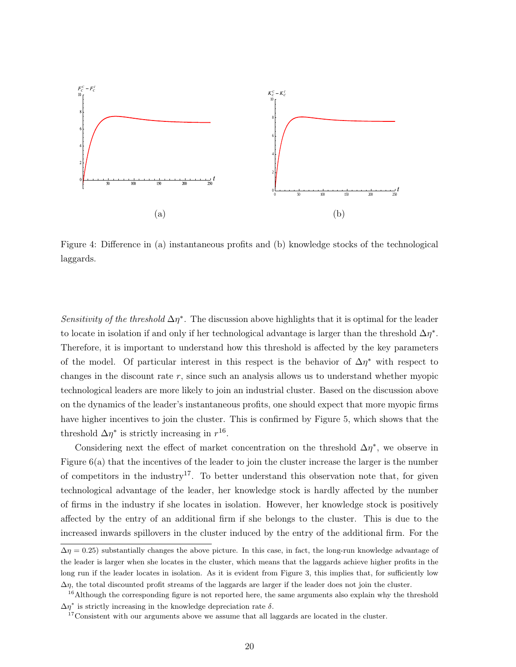

Figure 4: Difference in (a) instantaneous profits and (b) knowledge stocks of the technological laggards.

Sensitivity of the threshold  $\Delta \eta^*$ . The discussion above highlights that it is optimal for the leader to locate in isolation if and only if her technological advantage is larger than the threshold  $\Delta \eta^*$ . Therefore, it is important to understand how this threshold is affected by the key parameters of the model. Of particular interest in this respect is the behavior of  $\Delta \eta^*$  with respect to changes in the discount rate  $r$ , since such an analysis allows us to understand whether myopic technological leaders are more likely to join an industrial cluster. Based on the discussion above on the dynamics of the leader's instantaneous profits, one should expect that more myopic firms have higher incentives to join the cluster. This is confirmed by Figure 5, which shows that the threshold  $\Delta \eta^*$  is strictly increasing in  $r^{16}$ .

Considering next the effect of market concentration on the threshold  $\Delta \eta^*$ , we observe in Figure 6(a) that the incentives of the leader to join the cluster increase the larger is the number of competitors in the industry<sup>17</sup>. To better understand this observation note that, for given technological advantage of the leader, her knowledge stock is hardly affected by the number of firms in the industry if she locates in isolation. However, her knowledge stock is positively affected by the entry of an additional firm if she belongs to the cluster. This is due to the increased inwards spillovers in the cluster induced by the entry of the additional firm. For the

 $\Delta \eta = 0.25$ ) substantially changes the above picture. In this case, in fact, the long-run knowledge advantage of the leader is larger when she locates in the cluster, which means that the laggards achieve higher profits in the long run if the leader locates in isolation. As it is evident from Figure 3, this implies that, for sufficiently low  $\Delta \eta$ , the total discounted profit streams of the laggards are larger if the leader does not join the cluster.

<sup>&</sup>lt;sup>16</sup>Although the corresponding figure is not reported here, the same arguments also explain why the threshold  $\Delta \eta^*$  is strictly increasing in the knowledge depreciation rate  $\delta$ .

 $17$ Consistent with our arguments above we assume that all laggards are located in the cluster.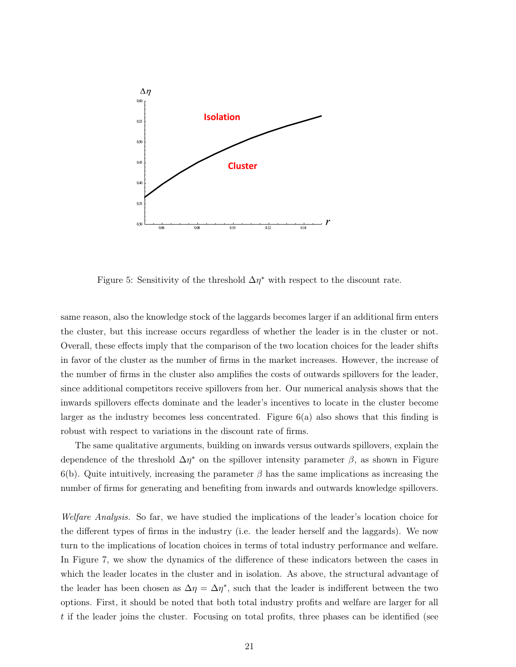

Figure 5: Sensitivity of the threshold  $\Delta \eta^*$  with respect to the discount rate.

same reason, also the knowledge stock of the laggards becomes larger if an additional firm enters the cluster, but this increase occurs regardless of whether the leader is in the cluster or not. Overall, these effects imply that the comparison of the two location choices for the leader shifts in favor of the cluster as the number of firms in the market increases. However, the increase of the number of firms in the cluster also amplifies the costs of outwards spillovers for the leader, since additional competitors receive spillovers from her. Our numerical analysis shows that the inwards spillovers effects dominate and the leader's incentives to locate in the cluster become larger as the industry becomes less concentrated. Figure  $6(a)$  also shows that this finding is robust with respect to variations in the discount rate of firms.

The same qualitative arguments, building on inwards versus outwards spillovers, explain the dependence of the threshold  $\Delta \eta^*$  on the spillover intensity parameter  $\beta$ , as shown in Figure 6(b). Quite intuitively, increasing the parameter  $\beta$  has the same implications as increasing the number of firms for generating and benefiting from inwards and outwards knowledge spillovers.

Welfare Analysis. So far, we have studied the implications of the leader's location choice for the different types of firms in the industry (i.e. the leader herself and the laggards). We now turn to the implications of location choices in terms of total industry performance and welfare. In Figure 7, we show the dynamics of the difference of these indicators between the cases in which the leader locates in the cluster and in isolation. As above, the structural advantage of the leader has been chosen as  $\Delta \eta = \Delta \eta^*$ , such that the leader is indifferent between the two options. First, it should be noted that both total industry profits and welfare are larger for all t if the leader joins the cluster. Focusing on total profits, three phases can be identified (see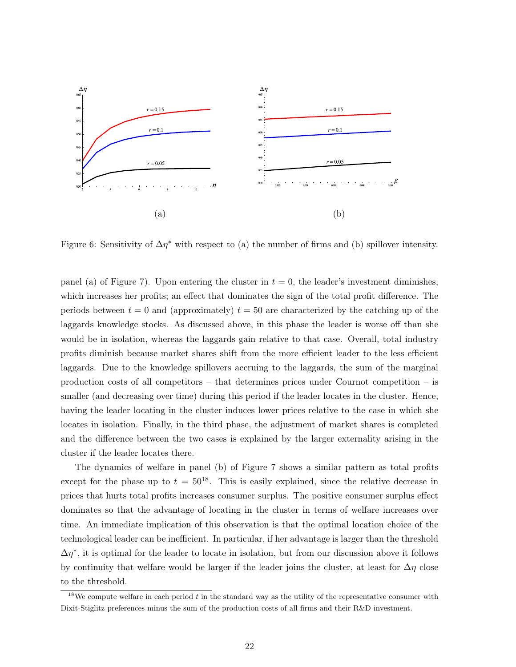

Figure 6: Sensitivity of  $\Delta \eta^*$  with respect to (a) the number of firms and (b) spillover intensity.

panel (a) of Figure 7). Upon entering the cluster in  $t = 0$ , the leader's investment diminishes, which increases her profits; an effect that dominates the sign of the total profit difference. The periods between  $t = 0$  and (approximately)  $t = 50$  are characterized by the catching-up of the laggards knowledge stocks. As discussed above, in this phase the leader is worse off than she would be in isolation, whereas the laggards gain relative to that case. Overall, total industry profits diminish because market shares shift from the more efficient leader to the less efficient laggards. Due to the knowledge spillovers accruing to the laggards, the sum of the marginal production costs of all competitors – that determines prices under Cournot competition – is smaller (and decreasing over time) during this period if the leader locates in the cluster. Hence, having the leader locating in the cluster induces lower prices relative to the case in which she locates in isolation. Finally, in the third phase, the adjustment of market shares is completed and the difference between the two cases is explained by the larger externality arising in the cluster if the leader locates there.

The dynamics of welfare in panel (b) of Figure 7 shows a similar pattern as total profits except for the phase up to  $t = 50^{18}$ . This is easily explained, since the relative decrease in prices that hurts total profits increases consumer surplus. The positive consumer surplus effect dominates so that the advantage of locating in the cluster in terms of welfare increases over time. An immediate implication of this observation is that the optimal location choice of the technological leader can be inefficient. In particular, if her advantage is larger than the threshold  $\Delta \eta^*$ , it is optimal for the leader to locate in isolation, but from our discussion above it follows by continuity that welfare would be larger if the leader joins the cluster, at least for  $\Delta \eta$  close to the threshold.

<sup>&</sup>lt;sup>18</sup>We compute welfare in each period  $t$  in the standard way as the utility of the representative consumer with Dixit-Stiglitz preferences minus the sum of the production costs of all firms and their R&D investment.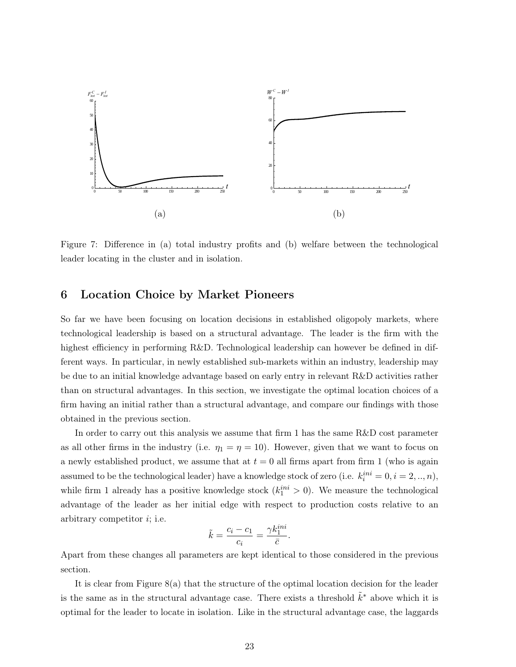

Figure 7: Difference in (a) total industry profits and (b) welfare between the technological leader locating in the cluster and in isolation.

#### 6 Location Choice by Market Pioneers

So far we have been focusing on location decisions in established oligopoly markets, where technological leadership is based on a structural advantage. The leader is the firm with the highest efficiency in performing R&D. Technological leadership can however be defined in different ways. In particular, in newly established sub-markets within an industry, leadership may be due to an initial knowledge advantage based on early entry in relevant R&D activities rather than on structural advantages. In this section, we investigate the optimal location choices of a firm having an initial rather than a structural advantage, and compare our findings with those obtained in the previous section.

In order to carry out this analysis we assume that firm 1 has the same R&D cost parameter as all other firms in the industry (i.e.  $\eta_1 = \eta = 10$ ). However, given that we want to focus on a newly established product, we assume that at  $t = 0$  all firms apart from firm 1 (who is again assumed to be the technological leader) have a knowledge stock of zero (i.e.  $k_i^{ini} = 0, i = 2, ..., n$ ), while firm 1 already has a positive knowledge stock  $(k_1^{ini} > 0)$ . We measure the technological advantage of the leader as her initial edge with respect to production costs relative to an arbitrary competitor  $i$ ; i.e.

$$
\tilde{k} = \frac{c_i - c_1}{c_i} = \frac{\gamma k_1^{ini}}{\bar{c}}.
$$

Apart from these changes all parameters are kept identical to those considered in the previous section.

It is clear from Figure 8(a) that the structure of the optimal location decision for the leader is the same as in the structural advantage case. There exists a threshold  $\tilde{k}^*$  above which it is optimal for the leader to locate in isolation. Like in the structural advantage case, the laggards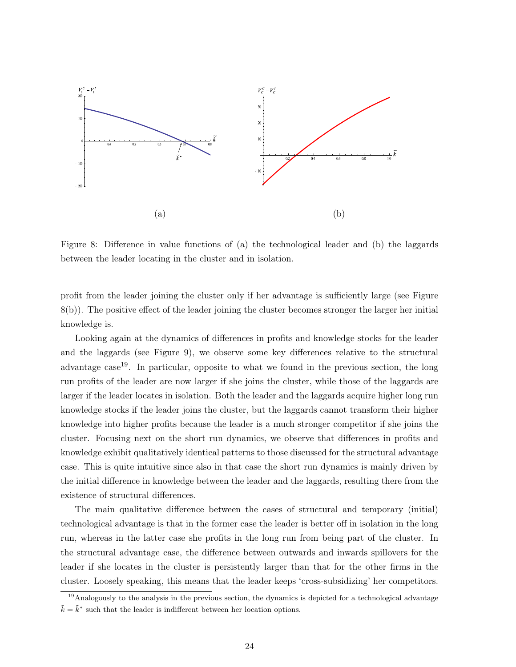

Figure 8: Difference in value functions of (a) the technological leader and (b) the laggards between the leader locating in the cluster and in isolation.

profit from the leader joining the cluster only if her advantage is sufficiently large (see Figure 8(b)). The positive effect of the leader joining the cluster becomes stronger the larger her initial knowledge is.

Looking again at the dynamics of differences in profits and knowledge stocks for the leader and the laggards (see Figure 9), we observe some key differences relative to the structural advantage case<sup>19</sup>. In particular, opposite to what we found in the previous section, the long run profits of the leader are now larger if she joins the cluster, while those of the laggards are larger if the leader locates in isolation. Both the leader and the laggards acquire higher long run knowledge stocks if the leader joins the cluster, but the laggards cannot transform their higher knowledge into higher profits because the leader is a much stronger competitor if she joins the cluster. Focusing next on the short run dynamics, we observe that differences in profits and knowledge exhibit qualitatively identical patterns to those discussed for the structural advantage case. This is quite intuitive since also in that case the short run dynamics is mainly driven by the initial difference in knowledge between the leader and the laggards, resulting there from the existence of structural differences.

The main qualitative difference between the cases of structural and temporary (initial) technological advantage is that in the former case the leader is better off in isolation in the long run, whereas in the latter case she profits in the long run from being part of the cluster. In the structural advantage case, the difference between outwards and inwards spillovers for the leader if she locates in the cluster is persistently larger than that for the other firms in the cluster. Loosely speaking, this means that the leader keeps 'cross-subsidizing' her competitors.

<sup>&</sup>lt;sup>19</sup>Analogously to the analysis in the previous section, the dynamics is depicted for a technological advantage  $\tilde{k} = \tilde{k}^*$  such that the leader is indifferent between her location options.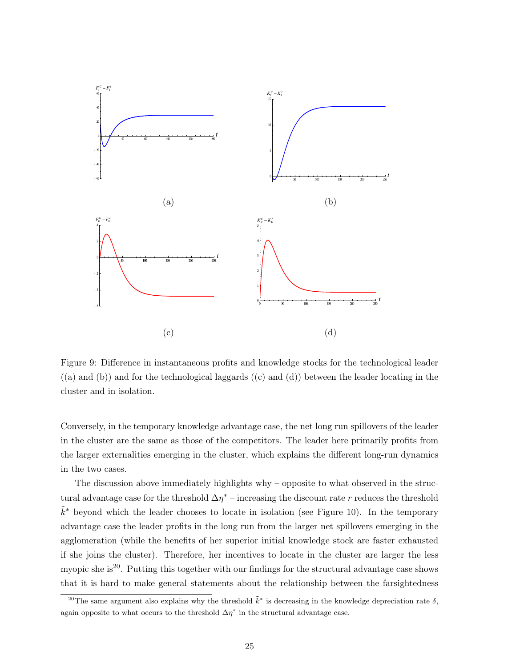

Figure 9: Difference in instantaneous profits and knowledge stocks for the technological leader  $((a)$  and  $(b))$  and for the technological laggards  $((c)$  and  $(d))$  between the leader locating in the cluster and in isolation.

Conversely, in the temporary knowledge advantage case, the net long run spillovers of the leader in the cluster are the same as those of the competitors. The leader here primarily profits from the larger externalities emerging in the cluster, which explains the different long-run dynamics in the two cases.

The discussion above immediately highlights why – opposite to what observed in the structural advantage case for the threshold  $\Delta \eta^*$  – increasing the discount rate r reduces the threshold  $\tilde{k}^*$  beyond which the leader chooses to locate in isolation (see Figure 10). In the temporary advantage case the leader profits in the long run from the larger net spillovers emerging in the agglomeration (while the benefits of her superior initial knowledge stock are faster exhausted if she joins the cluster). Therefore, her incentives to locate in the cluster are larger the less myopic she is<sup>20</sup>. Putting this together with our findings for the structural advantage case shows that it is hard to make general statements about the relationship between the farsightedness

<sup>&</sup>lt;sup>20</sup>The same argument also explains why the threshold  $\tilde{k}^*$  is decreasing in the knowledge depreciation rate  $\delta$ , again opposite to what occurs to the threshold  $\Delta \eta^*$  in the structural advantage case.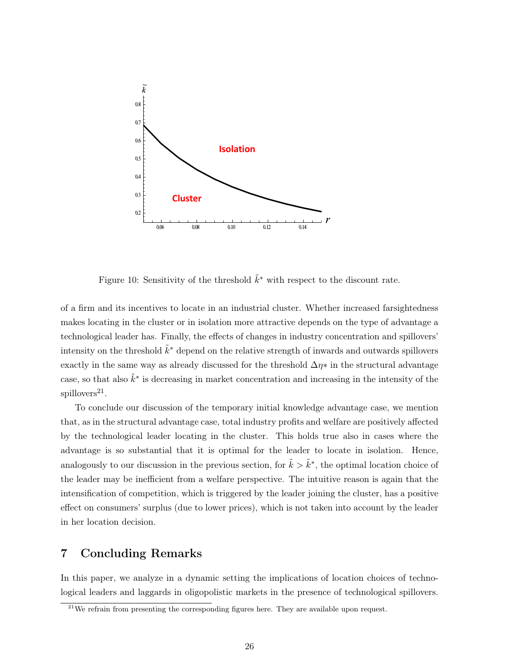

Figure 10: Sensitivity of the threshold  $\tilde{k}^*$  with respect to the discount rate.

of a firm and its incentives to locate in an industrial cluster. Whether increased farsightedness makes locating in the cluster or in isolation more attractive depends on the type of advantage a technological leader has. Finally, the effects of changes in industry concentration and spillovers' intensity on the threshold  $\tilde{k}^*$  depend on the relative strength of inwards and outwards spillovers exactly in the same way as already discussed for the threshold  $\Delta \eta^*$  in the structural advantage case, so that also  $\tilde{k}^*$  is decreasing in market concentration and increasing in the intensity of the spillovers<sup>21</sup>.

To conclude our discussion of the temporary initial knowledge advantage case, we mention that, as in the structural advantage case, total industry profits and welfare are positively affected by the technological leader locating in the cluster. This holds true also in cases where the advantage is so substantial that it is optimal for the leader to locate in isolation. Hence, analogously to our discussion in the previous section, for  $\tilde{k} > \tilde{k}^*$ , the optimal location choice of the leader may be inefficient from a welfare perspective. The intuitive reason is again that the intensification of competition, which is triggered by the leader joining the cluster, has a positive effect on consumers' surplus (due to lower prices), which is not taken into account by the leader in her location decision.

#### 7 Concluding Remarks

In this paper, we analyze in a dynamic setting the implications of location choices of technological leaders and laggards in oligopolistic markets in the presence of technological spillovers.

 $\frac{21}{21}$ We refrain from presenting the corresponding figures here. They are available upon request.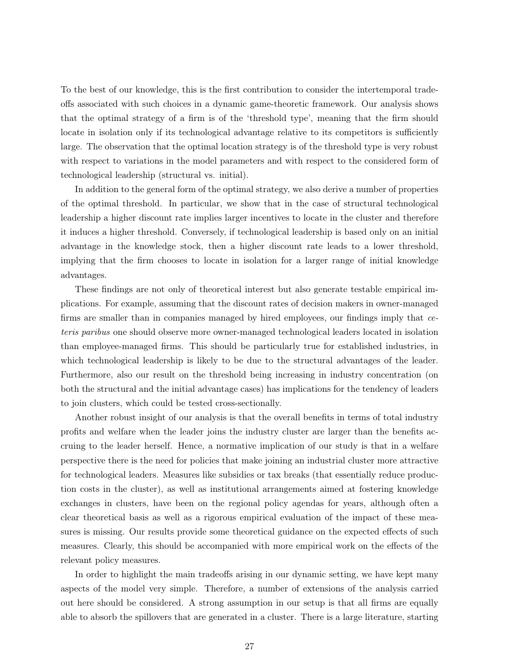To the best of our knowledge, this is the first contribution to consider the intertemporal tradeoffs associated with such choices in a dynamic game-theoretic framework. Our analysis shows that the optimal strategy of a firm is of the 'threshold type', meaning that the firm should locate in isolation only if its technological advantage relative to its competitors is sufficiently large. The observation that the optimal location strategy is of the threshold type is very robust with respect to variations in the model parameters and with respect to the considered form of technological leadership (structural vs. initial).

In addition to the general form of the optimal strategy, we also derive a number of properties of the optimal threshold. In particular, we show that in the case of structural technological leadership a higher discount rate implies larger incentives to locate in the cluster and therefore it induces a higher threshold. Conversely, if technological leadership is based only on an initial advantage in the knowledge stock, then a higher discount rate leads to a lower threshold, implying that the firm chooses to locate in isolation for a larger range of initial knowledge advantages.

These findings are not only of theoretical interest but also generate testable empirical implications. For example, assuming that the discount rates of decision makers in owner-managed firms are smaller than in companies managed by hired employees, our findings imply that ceteris paribus one should observe more owner-managed technological leaders located in isolation than employee-managed firms. This should be particularly true for established industries, in which technological leadership is likely to be due to the structural advantages of the leader. Furthermore, also our result on the threshold being increasing in industry concentration (on both the structural and the initial advantage cases) has implications for the tendency of leaders to join clusters, which could be tested cross-sectionally.

Another robust insight of our analysis is that the overall benefits in terms of total industry profits and welfare when the leader joins the industry cluster are larger than the benefits accruing to the leader herself. Hence, a normative implication of our study is that in a welfare perspective there is the need for policies that make joining an industrial cluster more attractive for technological leaders. Measures like subsidies or tax breaks (that essentially reduce production costs in the cluster), as well as institutional arrangements aimed at fostering knowledge exchanges in clusters, have been on the regional policy agendas for years, although often a clear theoretical basis as well as a rigorous empirical evaluation of the impact of these measures is missing. Our results provide some theoretical guidance on the expected effects of such measures. Clearly, this should be accompanied with more empirical work on the effects of the relevant policy measures.

In order to highlight the main tradeoffs arising in our dynamic setting, we have kept many aspects of the model very simple. Therefore, a number of extensions of the analysis carried out here should be considered. A strong assumption in our setup is that all firms are equally able to absorb the spillovers that are generated in a cluster. There is a large literature, starting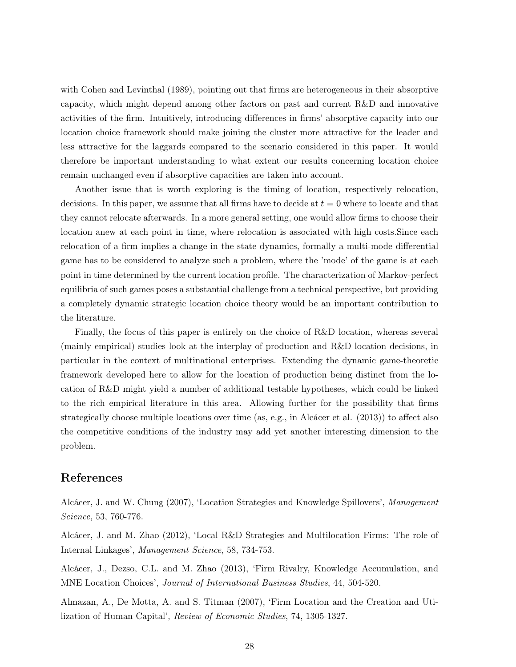with Cohen and Levinthal (1989), pointing out that firms are heterogeneous in their absorptive capacity, which might depend among other factors on past and current R&D and innovative activities of the firm. Intuitively, introducing differences in firms' absorptive capacity into our location choice framework should make joining the cluster more attractive for the leader and less attractive for the laggards compared to the scenario considered in this paper. It would therefore be important understanding to what extent our results concerning location choice remain unchanged even if absorptive capacities are taken into account.

Another issue that is worth exploring is the timing of location, respectively relocation, decisions. In this paper, we assume that all firms have to decide at  $t = 0$  where to locate and that they cannot relocate afterwards. In a more general setting, one would allow firms to choose their location anew at each point in time, where relocation is associated with high costs.Since each relocation of a firm implies a change in the state dynamics, formally a multi-mode differential game has to be considered to analyze such a problem, where the 'mode' of the game is at each point in time determined by the current location profile. The characterization of Markov-perfect equilibria of such games poses a substantial challenge from a technical perspective, but providing a completely dynamic strategic location choice theory would be an important contribution to the literature.

Finally, the focus of this paper is entirely on the choice of R&D location, whereas several (mainly empirical) studies look at the interplay of production and R&D location decisions, in particular in the context of multinational enterprises. Extending the dynamic game-theoretic framework developed here to allow for the location of production being distinct from the location of R&D might yield a number of additional testable hypotheses, which could be linked to the rich empirical literature in this area. Allowing further for the possibility that firms strategically choose multiple locations over time (as, e.g., in Alcácer et al. (2013)) to affect also the competitive conditions of the industry may add yet another interesting dimension to the problem.

#### References

Alcácer, J. and W. Chung (2007), 'Location Strategies and Knowledge Spillovers', Management Science, 53, 760-776.

Alcácer, J. and M. Zhao (2012), 'Local R&D Strategies and Multilocation Firms: The role of Internal Linkages', Management Science, 58, 734-753.

Alcácer, J., Dezso, C.L. and M. Zhao (2013), 'Firm Rivalry, Knowledge Accumulation, and MNE Location Choices', Journal of International Business Studies, 44, 504-520.

Almazan, A., De Motta, A. and S. Titman (2007), 'Firm Location and the Creation and Utilization of Human Capital', Review of Economic Studies, 74, 1305-1327.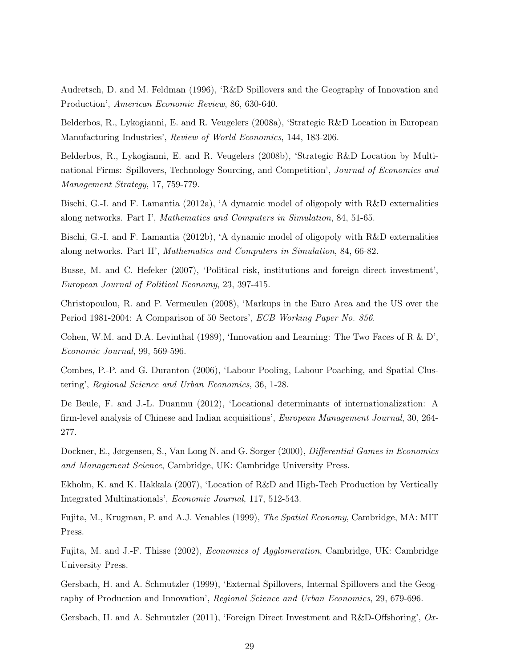Audretsch, D. and M. Feldman (1996), 'R&D Spillovers and the Geography of Innovation and Production', American Economic Review, 86, 630-640.

Belderbos, R., Lykogianni, E. and R. Veugelers (2008a), 'Strategic R&D Location in European Manufacturing Industries', Review of World Economics, 144, 183-206.

Belderbos, R., Lykogianni, E. and R. Veugelers (2008b), 'Strategic R&D Location by Multinational Firms: Spillovers, Technology Sourcing, and Competition', Journal of Economics and Management Strategy, 17, 759-779.

Bischi, G.-I. and F. Lamantia (2012a), 'A dynamic model of oligopoly with R&D externalities along networks. Part I', Mathematics and Computers in Simulation, 84, 51-65.

Bischi, G.-I. and F. Lamantia (2012b), 'A dynamic model of oligopoly with R&D externalities along networks. Part II', Mathematics and Computers in Simulation, 84, 66-82.

Busse, M. and C. Hefeker (2007), 'Political risk, institutions and foreign direct investment', European Journal of Political Economy, 23, 397-415.

Christopoulou, R. and P. Vermeulen (2008), 'Markups in the Euro Area and the US over the Period 1981-2004: A Comparison of 50 Sectors', ECB Working Paper No. 856.

Cohen, W.M. and D.A. Levinthal (1989), 'Innovation and Learning: The Two Faces of R  $\&$  D', Economic Journal, 99, 569-596.

Combes, P.-P. and G. Duranton (2006), 'Labour Pooling, Labour Poaching, and Spatial Clustering', Regional Science and Urban Economics, 36, 1-28.

De Beule, F. and J.-L. Duanmu (2012), 'Locational determinants of internationalization: A firm-level analysis of Chinese and Indian acquisitions', European Management Journal, 30, 264- 277.

Dockner, E., Jørgensen, S., Van Long N. and G. Sorger (2000), Differential Games in Economics and Management Science, Cambridge, UK: Cambridge University Press.

Ekholm, K. and K. Hakkala (2007), 'Location of R&D and High-Tech Production by Vertically Integrated Multinationals', Economic Journal, 117, 512-543.

Fujita, M., Krugman, P. and A.J. Venables (1999), The Spatial Economy, Cambridge, MA: MIT Press.

Fujita, M. and J.-F. Thisse (2002), Economics of Agglomeration, Cambridge, UK: Cambridge University Press.

Gersbach, H. and A. Schmutzler (1999), 'External Spillovers, Internal Spillovers and the Geography of Production and Innovation', Regional Science and Urban Economics, 29, 679-696.

Gersbach, H. and A. Schmutzler (2011), 'Foreign Direct Investment and R&D-Offshoring', Ox-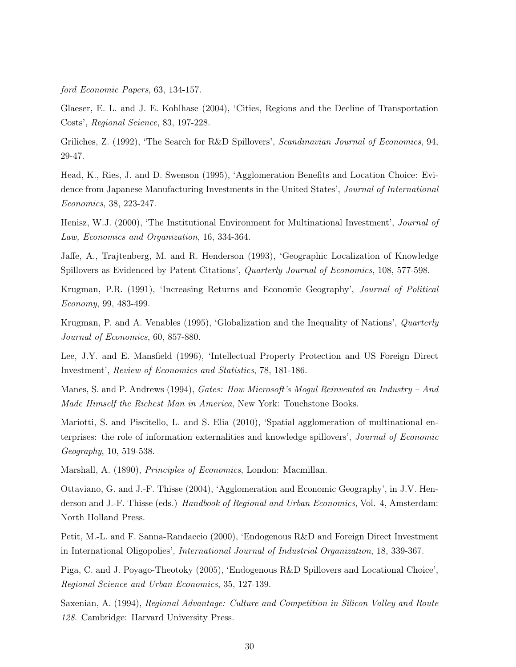ford Economic Papers, 63, 134-157.

Glaeser, E. L. and J. E. Kohlhase (2004), 'Cities, Regions and the Decline of Transportation Costs', Regional Science, 83, 197-228.

Griliches, Z. (1992), 'The Search for R&D Spillovers', Scandinavian Journal of Economics, 94, 29-47.

Head, K., Ries, J. and D. Swenson (1995), 'Agglomeration Benefits and Location Choice: Evidence from Japanese Manufacturing Investments in the United States', Journal of International Economics, 38, 223-247.

Henisz, W.J. (2000), 'The Institutional Environment for Multinational Investment', Journal of Law, Economics and Organization, 16, 334-364.

Jaffe, A., Trajtenberg, M. and R. Henderson (1993), 'Geographic Localization of Knowledge Spillovers as Evidenced by Patent Citations', Quarterly Journal of Economics, 108, 577-598.

Krugman, P.R. (1991), 'Increasing Returns and Economic Geography', Journal of Political Economy, 99, 483-499.

Krugman, P. and A. Venables (1995), 'Globalization and the Inequality of Nations', Quarterly Journal of Economics, 60, 857-880.

Lee, J.Y. and E. Mansfield (1996), 'Intellectual Property Protection and US Foreign Direct Investment', Review of Economics and Statistics, 78, 181-186.

Manes, S. and P. Andrews (1994), Gates: How Microsoft's Mogul Reinvented an Industry – And Made Himself the Richest Man in America, New York: Touchstone Books.

Mariotti, S. and Piscitello, L. and S. Elia (2010), 'Spatial agglomeration of multinational enterprises: the role of information externalities and knowledge spillovers', Journal of Economic Geography, 10, 519-538.

Marshall, A. (1890), Principles of Economics, London: Macmillan.

Ottaviano, G. and J.-F. Thisse (2004), 'Agglomeration and Economic Geography', in J.V. Henderson and J.-F. Thisse (eds.) Handbook of Regional and Urban Economics, Vol. 4, Amsterdam: North Holland Press.

Petit, M.-L. and F. Sanna-Randaccio (2000), 'Endogenous R&D and Foreign Direct Investment in International Oligopolies', International Journal of Industrial Organization, 18, 339-367.

Piga, C. and J. Poyago-Theotoky (2005), 'Endogenous R&D Spillovers and Locational Choice', Regional Science and Urban Economics, 35, 127-139.

Saxenian, A. (1994), Regional Advantage: Culture and Competition in Silicon Valley and Route 128. Cambridge: Harvard University Press.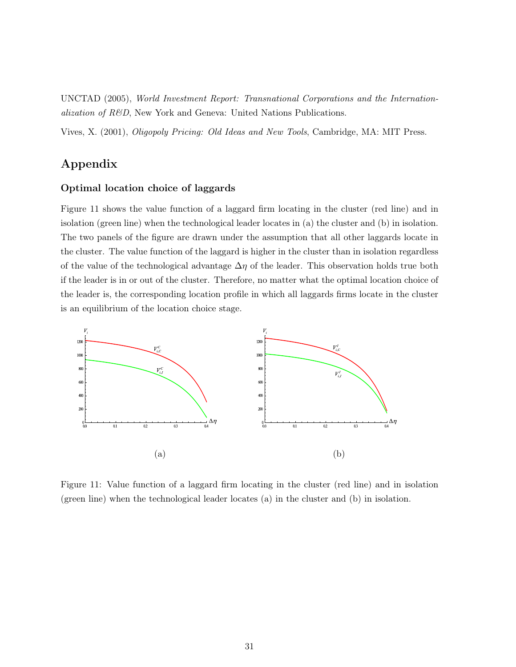UNCTAD (2005), World Investment Report: Transnational Corporations and the Internationalization of R&D, New York and Geneva: United Nations Publications.

Vives, X. (2001), Oligopoly Pricing: Old Ideas and New Tools, Cambridge, MA: MIT Press.

### Appendix

#### Optimal location choice of laggards

Figure 11 shows the value function of a laggard firm locating in the cluster (red line) and in isolation (green line) when the technological leader locates in (a) the cluster and (b) in isolation. The two panels of the figure are drawn under the assumption that all other laggards locate in the cluster. The value function of the laggard is higher in the cluster than in isolation regardless of the value of the technological advantage  $\Delta \eta$  of the leader. This observation holds true both if the leader is in or out of the cluster. Therefore, no matter what the optimal location choice of the leader is, the corresponding location profile in which all laggards firms locate in the cluster is an equilibrium of the location choice stage.



Figure 11: Value function of a laggard firm locating in the cluster (red line) and in isolation (green line) when the technological leader locates (a) in the cluster and (b) in isolation.